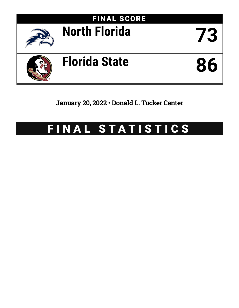

# January 20, 2022 • Donald L. Tucker Center

# FINAL STATISTICS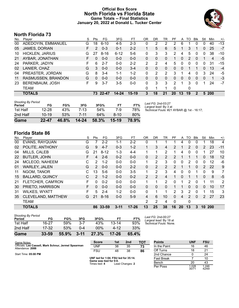### **Official Box Score North Florida vs Florida State Game Totals -- Final Statistics January 20, 2022 at Donald L. Tucker Center**



# **North Florida 73**

| No. | Plaver                 | S  | Pts | FG       | 3FG       | FT      | ΟR | DR | TR       | РF           | A  | TO | Blk          | Stl      | Min   | $+/-$ |
|-----|------------------------|----|-----|----------|-----------|---------|----|----|----------|--------------|----|----|--------------|----------|-------|-------|
| 00  | ADEDOYIN, EMMANUEL     | G  | 18  | $6 - 10$ | $4 - 5$   | $2 - 3$ | 0  | 2  | 2        | 2            | 6  |    | 0            | 0        | 40    | $-13$ |
| 05  | JAMES, DORIAN          | F. | 2   | $0 - 3$  | $0 - 1$   | $2 - 2$ |    | 5  | 6        | 5.           |    | 3  |              | 0        | 25    | $-7$  |
| 10  | <b>HICKLEN, JARIUS</b> | G  | 27  | $8 - 16$ | $6 - 12$  | $5-6$   | 0  | 3  | 3        | 2            | 4  | 5  | $\Omega$     | 0        | 38    | $-10$ |
| 21  | AYBAR, JONATHAN        | F. | 0   | $0 - 0$  | $0 - 0$   | $0 - 0$ | 0  | 0  | 0        |              | 0  | 2  | $\Omega$     |          | 4     | $-5$  |
| 24  | PARKER, JADYN          | F. | 6   | $2 - 7$  | 0-0       | $2 - 2$ | 2  | 2  | 4        | 5            | 0  | 0  | 0            | 0        | 31    | $-15$ |
| 02  | LANIER, CHAZ           | G  | 3   | $0 - 0$  | $0 - 0$   | $3 - 4$ | 0  | 0  | 0        | 0            | 0  |    |              | 0        | 13    | $-4$  |
| 04  | PREASTER, JORDAN       | G  | 8   | $3 - 4$  | $1 - 1$   | $1 - 2$ | 0  | 2  | 2        | 3            |    | 4  | $\Omega$     | 3        | 24    | -5    |
| 11  | RASMUSSEN, BRANDON     | G  | 0   | $0 - 0$  | $0 - 0$   | $0 - 0$ | 0  | 0  | $\Omega$ | 0            | 0  | 0  | 0            | $\Omega$ | 1     | -3    |
| 23  | BERENBAUM, JOSH        | F. | 9   | $3 - 7$  | $3-5$     | $0-0$   | 0  | 3  | 3        | 2            |    | 3  | $\Omega$     | 1        | 24    | $-7$  |
|     | TEAM                   |    |     |          |           |         | 0  | 1  | 1        | $\mathbf{0}$ |    | 0  |              |          |       |       |
|     | <b>TOTALS</b>          |    |     | 73 22-47 | $14 - 24$ | $15-19$ | 3  | 18 | 21       | 20           | 13 | 19 | $\mathbf{2}$ |          | 5 200 |       |
|     |                        |    |     |          |           |         |    |    |          |              |    |    |              |          |       |       |

| Game                                | 22-47     | 46.8% | $14 - 24$ | 58.3% | 15-19  | 78.9% |
|-------------------------------------|-----------|-------|-----------|-------|--------|-------|
| 2nd Half                            | $10 - 19$ | 53%   | 7-11      | 64%   | $8-10$ | 80%   |
| 1st Half                            | $12 - 28$ | 43%   | 7-13      | 54%   | 7-9    | 78%   |
| <b>Shooting By Period</b><br>Period | FG        | FG%   | 3FG       | 3FG%  | FТ     | FT%   |

*Last FG:* 2nd-03:27 *Largest lead:* By 3 at *Technical Fouls:* #21 AYBAR @ 1st - 16:17;

# **Florida State 86**

| No. | Player                 | S  | Pts           | FG        | 3FG      | FT        | 0R          | DR             | TR              | PF             | A        | TO | <b>BIK</b> | Stl | Min        | $+/-$          |
|-----|------------------------|----|---------------|-----------|----------|-----------|-------------|----------------|-----------------|----------------|----------|----|------------|-----|------------|----------------|
| 00  | <b>EVANS, RAYQUAN</b>  | G  |               | $2 - 2$   | $1 - 1$  | $2 - 2$   | 0           |                |                 |                | 4        | 0  | 0          |     | 18         | 4              |
| 02  | POLITE, ANTHONY        | G  | 9             | $4 - 7$   | $0 - 3$  | $1 - 2$   |             | 3              | 4               | 2              |          | 2  | 0          | 2   | 23         | $-11$          |
| 04  | MILLS, CALEB           | G  | 21            | $8 - 12$  | 1-3      | $4 - 4$   | 1           | 1              | $\overline{2}$  |                | 4        | 0  | 0          |     | 27         | 10             |
| 22  | <b>BUTLER, JOHN</b>    | F  | 4             | $2-6$     | $0 - 2$  | $0 - 0$   | $\Omega$    | 2              | $\overline{2}$  | $\mathcal{P}$  | 1        |    |            | 0   | 18         | 12             |
| 24  | MCLEOD, NAHEEM         | С  | $\mathcal{P}$ | $1 - 2$   | $0 - 0$  | $0 - 0$   | 1           | 2              | 3               | 0              | 0        | 2  | 0          | 0   | 12         | -6             |
| 01  | <b>WARLEY, JALEN</b>   | G  | $\mathcal{P}$ | $0 - 0$   | $0 - 0$  | $2 - 2$   | $\Omega$    | $\overline{2}$ | $\overline{2}$  | $\overline{2}$ | 1        | 1  | $\Omega$   | 2   | 22         | 9              |
| 11  | NGOM, TANOR            | С  | 13            | $5-6$     | $0 - 0$  | $3-5$     | $\mathbf 1$ | $\overline{2}$ | 3               | 4              | $\Omega$ | 0  |            | 0   | 9          | $\overline{7}$ |
| 15  | <b>BALLARD, QUINCY</b> | С  | $\mathcal{P}$ | $1 - 2$   | $0 - 0$  | $0 - 2$   | 2           | 2              | 4               |                | 0        |    |            | 0   | 8          | $-5$           |
| 21  | FLETCHER, CAM'RON      | F. | $\Omega$      | $0 - 2$   | $0 - 0$  | $0 - 0$   | 1.          | 1              | $\mathcal{P}$   | 0              | 1        | 2  | 0          |     | 11         | 2              |
| 30  | PRIETO, HARRISON       | F. | $\Omega$      | $0 - 0$   | $0 - 0$  | $0 - 0$   | $\Omega$    | 0              | $\Omega$        |                | 1        | 0  | $\Omega$   | 0   | 10         | 17             |
| 31  | <b>WILKES, WYATT</b>   | F  | 5.            | $2 - 4$   | $1-2$    | $0 - 0$   | $\Omega$    | 1              | 1               | 2              | 3        | 2  | 0          |     | 15         | 3              |
| 35  | CLEVELAND, MATTHEW     | G  | 21            | $8 - 16$  | $0 - 0$  | $5-9$     | 4           | 6              | 10 <sup>°</sup> | $\Omega$       | 4        | 2  | $\Omega$   | 2   | 27         | 23             |
|     | <b>TEAM</b>            |    |               |           |          |           | 2           | 2              | 4               | 0              |          | 0  |            |     |            |                |
|     | <b>TOTALS</b>          |    | 86            | $33 - 59$ | $3 - 11$ | $17 - 26$ | 13          | 25             | 38              | 16             | 20       | 13 | 3          | 10  | <b>200</b> |                |

| Game                                | $33 - 59$ | 55.9% | $3 - 11$ | 27.3%  | $17 - 26$ | 65.4% |                   |
|-------------------------------------|-----------|-------|----------|--------|-----------|-------|-------------------|
| 2nd Half                            | $17 - 32$ | 53%   | በ-4      | $00\%$ | 4-12      | 33%   |                   |
| 1st Half                            | $16 - 27$ | 59%   | $3 - 7$  | 43%    | $13 - 14$ | 93%   | Techni            |
| <b>Shooting By Period</b><br>Period | FG        | FG%   | 3FG      | 3FG%   | FT        | FT%   | Last F(<br>Larges |

*Last FG:* 2nd-00:27 *Largest lead:* By 18 at *Technical Fouls:* None.

| Game Notes:                                                              | <b>Score</b>                            | 1st | 2 <sub>nd</sub> | TOT | <b>Points</b>     | <b>UNF</b>     | <b>FSU</b>     |
|--------------------------------------------------------------------------|-----------------------------------------|-----|-----------------|-----|-------------------|----------------|----------------|
| Officials: Lee Cassell, Mark Schnur, Jermel Spearman<br>Attendance: 2088 | UNF                                     | 38  | 35              | 73  | In the Paint      | 16             | 46             |
|                                                                          | <b>FSU</b>                              | 48  | 38              | 86  | Off Turns         | 18             | 21             |
| Start Time: 05:00 PM                                                     |                                         |     |                 |     | 2nd Chance        |                | 24             |
|                                                                          | UNF led for 1:04. FSU led for 35:14.    |     |                 |     | <b>Fast Break</b> |                | 10             |
|                                                                          | Game was tied for 0:0.<br>Times tied: 4 |     | Lead Changes: 2 |     | Bench             | 20             | 43             |
|                                                                          |                                         |     |                 |     | Per Poss          | 1.028<br>30/71 | 1.246<br>42/69 |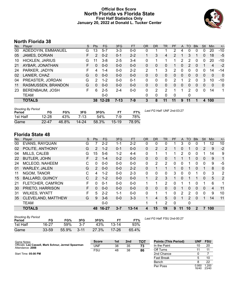### **Official Box Score North Florida vs Florida State First Half Statistics Only January 20, 2022 at Donald L. Tucker Center**



# **North Florida 38**

| No. | Plaver             | S  | <b>Pts</b> | <b>FG</b> | 3FG      | <b>FT</b> | <b>OR</b> | <b>DR</b> | TR       | <b>PF</b> | A | TO            | <b>Blk</b> | Stl      | <b>Min</b> | $+/-$        |
|-----|--------------------|----|------------|-----------|----------|-----------|-----------|-----------|----------|-----------|---|---------------|------------|----------|------------|--------------|
| 00  | ADEDOYIN, EMMANUEL | G  | 13         | $5 - 7$   | $3 - 3$  | $0 - 0$   | 0         |           |          | າ         | 4 | 0             | 0          | 0        | 20         | $-10$        |
| 05  | JAMES, DORIAN      | F  | 2          | $0 - 2$   | $0 - 1$  | $2 - 2$   |           | 3         | 4        | 2         |   | 3             |            | 0        | 18         | $-5$         |
| 10  | HICKLEN, JARIUS    | G  | 11         | $3 - 8$   | $2 - 5$  | $3-4$     | 0         |           |          |           | 2 | 2             | 0          | 0        | 20         | $-10$        |
| 21  | AYBAR, JONATHAN    | F  | 0          | $0 - 0$   | $0 - 0$  | $0 - 0$   | 0         | 0         | 0        |           | 0 | 2             | 0          | 1        | 4          | $-2$         |
| 24  | PARKER, JADYN      |    | 4          | $1 - 4$   | $0 - 0$  | $2 - 2$   | 2         |           | 3        | 2         | 0 | 0             | 0          | 0        | 14         | -14          |
| 02  | LANIER, CHAZ       | G  | 0          | $0 - 0$   | $0 - 0$  | $0 - 0$   | 0         | 0         | $\Omega$ | $\Omega$  | 0 | 0             | 0          | 0        | $\Omega$   | $\mathbf{0}$ |
| 04  | PREASTER, JORDAN   | G  | 2          | $1 - 2$   | $0 - 0$  | $0 - 1$   | 0         | 0         | 0        | 2         |   | 2             | 0          | 3        | 10         | $-10$        |
| 11  | RASMUSSEN, BRANDON | G  | 0          | $0 - 0$   | $0 - 0$  | $0 - 0$   | 0         | 0         | 0        | 0         | 0 | 0             | $\Omega$   | $\Omega$ | $\Omega$   | 0            |
| 23  | BERENBAUM, JOSH    | F. | 6          | $2 - 5$   | $2 - 4$  | $0 - 0$   | 0         | 2         | 2        |           |   | $\mathcal{P}$ | $\Omega$   | 0        | 14         | 1            |
|     | <b>TEAM</b>        |    |            | $0-0$     |          |           | 0         | 0         | 0        | 0         |   | 0             |            |          |            |              |
|     | <b>TOTALS</b>      |    | 38         | $12 - 28$ | $7 - 13$ | 7-9       | 3         | 8         | 11       | 11        | 9 | 11            |            | 4        | 100        |              |

| <b>Shooting By Period</b><br>Period | FG        | FG%   | 3FG   | 3FG%  | FT.       | FT%   | Last FG Half: UNF 2nd-03:27 |
|-------------------------------------|-----------|-------|-------|-------|-----------|-------|-----------------------------|
| 1st Half                            | $12 - 28$ | 43%   | 7-13  | 54%   | 7-9       | 78%   |                             |
| Game                                | $22 - 47$ | 46.8% | 14-24 | 58.3% | $15 - 19$ | 78.9% |                             |

# **Florida State 48**

| No. | Player                 | S | <b>Pts</b>     | <b>FG</b> | 3FG     | <b>FT</b> | <b>OR</b>    | <b>DR</b>      | TR           | PF       | A  | TO             | <b>Blk</b>   | Stl          | Min            | $+/-$       |
|-----|------------------------|---|----------------|-----------|---------|-----------|--------------|----------------|--------------|----------|----|----------------|--------------|--------------|----------------|-------------|
| 00  | <b>EVANS, RAYQUAN</b>  | G |                | $2 - 2$   | 1-1     | $2 - 2$   | 0            | 0              | 0            |          | 3  | 0              | 0            |              | 12             | 10          |
| 02  | POLITE, ANTHONY        | G | $\overline{2}$ | $1 - 2$   | $0 - 1$ | $0 - 0$   | $\mathbf{0}$ | 2              | 2            |          | 0  |                | 0            | 2            | 9              | $-2$        |
| 04  | MILLS, CALEB           | G | 15             | $5 - 6$   | 1-2     | $4 - 4$   | 0            |                |              |          | 2  | 0              | 0            |              | 14             | 9           |
| 22  | <b>BUTLER, JOHN</b>    | F | 2              | $1 - 4$   | $0 - 2$ | $0 - 0$   | $\Omega$     | 0              | 0            |          |    |                | 0            | 0            | 9              | 1           |
| 24  | MCLEOD, NAHEEM         | С | 0              | $0-0$     | $0 - 0$ | $0 - 0$   | 0            | 2              | 2            | 0        | 0  |                | $\Omega$     | 0            | 9              | $-5$        |
| 01  | <b>WARLEY, JALEN</b>   | G | $\overline{2}$ | $0 - 0$   | $0 - 0$ | $2 - 2$   | 0            |                |              |          | 0  |                | 0            |              | 8              | $\mathbf 0$ |
| 11  | NGOM, TANOR            | С | 4              | $1 - 2$   | $0 - 0$ | $2 - 3$   | 0            | 0              | $\Omega$     | 3        | 0  | 0              |              | 0            | 3              | 2           |
| 15  | <b>BALLARD, QUINCY</b> | С | $\mathcal{P}$  | $1 - 2$   | $0 - 0$ | $0 - 0$   |              | $\overline{2}$ | 3            |          | 0  |                |              | 0            | 5              | 2           |
| 21  | FLETCHER, CAM'RON      | F | 0              | $0 - 1$   | $0 - 0$ | $0 - 0$   | 1            |                | 2            | 0        | 1  |                | 0            |              | 6              | 1           |
| 30  | PRIETO, HARRISON       | F | 0              | $0 - 0$   | $0 - 0$ | $0 - 0$   | 0            | 0              | $\mathbf{0}$ | 0        |    | 0              | $\mathbf{0}$ | $\mathbf{0}$ | $\overline{4}$ | 11          |
| 31  | <b>WILKES, WYATT</b>   | F | 5.             | $2 - 2$   | $1 - 1$ | $0 - 0$   | 0            |                | 1            | 0        | 2  | 2              | 0            | $\Omega$     | 9              | 10          |
| 35  | CLEVELAND, MATTHEW     | G | 9              | $3-6$     | $0 - 0$ | $3 - 3$   |              | 4              | 5            | 0        | 1  | $\overline{2}$ | $\Omega$     |              | 14             | 11          |
|     | <b>TEAM</b>            |   |                | $0 - 0$   |         |           | 1            | 1              | 2            | $\Omega$ |    | 0              |              |              |                |             |
|     | <b>TOTALS</b>          |   | 48             | 16-27     | $3 - 7$ | $13 - 14$ | 4            | 15             | 19           | 9        | 11 | 10             | $\mathbf 2$  |              | 100            |             |

| <b>Shooting By Period</b> |           |       |          |       |           |       |
|---------------------------|-----------|-------|----------|-------|-----------|-------|
| Period                    | FG        | FG%   | 3FG      | 3FG%  |           | FT%   |
| 1st Half                  | 16-27     | 59%   | $3 - 7$  | 43%   | $13 - 14$ | 93%   |
| Game                      | $33 - 59$ | 55.9% | $3 - 11$ | 27.3% | 17-26     | 65.4% |

*Last FG Half:* FSU 2nd-00:27

Per Poss

16/40 1.200 23/40

| Game Notes:                                                              | <b>Score</b> | 1st | 2 <sub>nd</sub> | <b>TOT</b> | <b>Points (This Period)</b> | UNF | <b>FSU</b> |
|--------------------------------------------------------------------------|--------------|-----|-----------------|------------|-----------------------------|-----|------------|
| Officials: Lee Cassell, Mark Schnur, Jermel Spearman<br>Attendance: 2088 | UNF          | 38  | 35              | 73         | In the Paint                | 10  | 20         |
|                                                                          | <b>FSU</b>   | 48  | 38              | 86         | Off Turns                   |     |            |
| Start Time: 05:00 PM                                                     |              |     |                 |            | 2nd Chance                  |     |            |
|                                                                          |              |     |                 |            | Fast Break                  |     |            |
|                                                                          |              |     |                 |            | Bench                       |     | ററ         |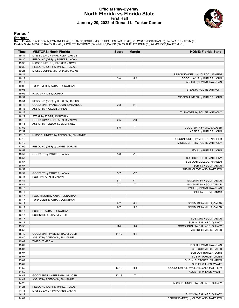#### **Official Play-By-Play North Florida vs Florida State First Half January 20, 2022 at Donald L. Tucker Center**



#### **Period 1**

<mark>Starters :</mark><br>North Florida: 0 ADEDOYIN,EMMANUEL (G); 5 JAMES,DORIAN (F); 10 HICKLEN,JARIUS (G); 21 AYBAR,JONATHAN (F); 24 PARKER,JADYN (F);<br>Florida State: 0 EVANS,RAYQUAN (G); 2 POLITE,ANTHONY (G); 4 MILLS,CALEB (G); 22 BU

| Time           | <b>VISITORS: North Florida</b>      | <b>Score</b>       | <b>Margin</b>  | <b>HOME: Florida State</b>                         |
|----------------|-------------------------------------|--------------------|----------------|----------------------------------------------------|
| 19:34          | MISSED LAYUP by HICKLEN, JARIUS     |                    |                |                                                    |
| 19:30          | REBOUND (OFF) by PARKER, JADYN      |                    |                |                                                    |
| 19:30          | MISSED LAYUP by PARKER, JADYN       |                    |                |                                                    |
| 19:30          | REBOUND (OFF) by PARKER, JADYN      |                    |                |                                                    |
| 19:25          | MISSED JUMPER by PARKER, JADYN      |                    |                |                                                    |
| 19:24          |                                     |                    |                | REBOUND (DEF) by MCLEOD, NAHEEM                    |
| 19:17          |                                     | $2 - 0$            | H <sub>2</sub> | GOOD! LAYUP by BUTLER, JOHN                        |
| 19:17          |                                     |                    |                | ASSIST by EVANS, RAYQUAN                           |
| 19:06          | TURNOVER by AYBAR, JONATHAN         |                    |                |                                                    |
| 19:06          |                                     |                    |                | STEAL by POLITE, ANTHONY                           |
| 19:06          | FOUL by JAMES, DORIAN               |                    |                |                                                    |
| 18:54          |                                     |                    |                | MISSED JUMPER by BUTLER, JOHN                      |
| 18:51          | REBOUND (DEF) by HICKLEN, JARIUS    |                    |                |                                                    |
| 18:43          | GOOD! 3PTR by ADEDOYIN, EMMANUEL    | $2 - 3$            | V <sub>1</sub> |                                                    |
| 18:43          | ASSIST by HICKLEN, JARIUS           |                    |                |                                                    |
| 18:29          |                                     |                    |                | TURNOVER by POLITE, ANTHONY                        |
| 18:29          | STEAL by AYBAR, JONATHAN            |                    |                |                                                    |
| 18:16          | GOOD! JUMPER by PARKER, JADYN       | $2 - 5$            | V <sub>3</sub> |                                                    |
| 18:16          | ASSIST by ADEDOYIN, EMMANUEL        |                    |                |                                                    |
| 17:52          |                                     | $5-5$              | T              | GOOD! 3PTR by MILLS, CALEB                         |
| 17:52          |                                     |                    |                | ASSIST by BUTLER, JOHN                             |
| 17:18          | MISSED JUMPER by ADEDOYIN, EMMANUEL |                    |                |                                                    |
| 17:15          |                                     |                    |                | REBOUND (DEF) by MCLEOD, NAHEEM                    |
| 17:12          |                                     |                    |                | MISSED 3PTR by POLITE, ANTHONY                     |
| 17:09          | REBOUND (DEF) by JAMES, DORIAN      |                    |                |                                                    |
| 16:57          |                                     |                    |                | FOUL by BUTLER, JOHN                               |
| 16:57          | GOOD! FT by PARKER, JADYN           | $5-6$              | V <sub>1</sub> |                                                    |
| 16:57          |                                     |                    |                | SUB OUT: POLITE, ANTHONY                           |
| 16:57          |                                     |                    |                | SUB OUT: MCLEOD, NAHEEM                            |
| 16:57          |                                     |                    |                | SUB IN: NGOM, TANOR                                |
| 16:57          |                                     |                    |                | SUB IN: CLEVELAND, MATTHEW                         |
| 16:57          | GOOD! FT by PARKER, JADYN           | $5 - 7$            | V <sub>2</sub> |                                                    |
| 16:44          | FOUL by PARKER, JADYN               |                    | V <sub>1</sub> |                                                    |
| 16:44<br>16:44 |                                     | $6 - 7$<br>$7 - 7$ | T              | GOOD! FT by NGOM, TANOR<br>GOOD! FT by NGOM, TANOR |
| 16:18          |                                     |                    |                |                                                    |
| 16:17          |                                     |                    |                | FOUL by EVANS, RAYQUAN<br>FOUL by NGOM, TANOR      |
| 16:17          | FOUL (TECH) by AYBAR, JONATHAN      |                    |                |                                                    |
| 16:17          | TURNOVER by AYBAR, JONATHAN         |                    |                |                                                    |
| 16:17          |                                     | $8 - 7$            | H <sub>1</sub> | GOOD! FT by MILLS, CALEB                           |
| 16:17          |                                     | $9 - 7$            | H <sub>2</sub> | GOOD! FT by MILLS, CALEB                           |
| 16:17          | SUB OUT: AYBAR, JONATHAN            |                    |                |                                                    |
| 16:17          | SUB IN: BERENBAUM, JOSH             |                    |                |                                                    |
| 16:17          |                                     |                    |                | SUB OUT: NGOM, TANOR                               |
| 16:17          |                                     |                    |                | SUB IN: BALLARD, QUINCY                            |
| 15:56          |                                     | $11 - 7$           | H4             | GOOD! DUNK by BALLARD, QUINCY                      |
| 15:56          |                                     |                    |                | ASSIST by MILLS, CALEB                             |
| 15:40          | GOOD! 3PTR by BERENBAUM, JOSH       | $11 - 10$          | H <sub>1</sub> |                                                    |
| 15:40          | ASSIST by ADEDOYIN, EMMANUEL        |                    |                |                                                    |
| 15:07          | <b>TIMEOUT MEDIA</b>                |                    |                |                                                    |
| 15:07          |                                     |                    |                | SUB OUT: EVANS, RAYQUAN                            |
| 15:07          |                                     |                    |                | SUB OUT: MILLS, CALEB                              |
| 15:07          |                                     |                    |                | SUB OUT: BUTLER, JOHN                              |
| 15:07          |                                     |                    |                | SUB IN: WARLEY, JALEN                              |
| 15:07          |                                     |                    |                | SUB IN: FLETCHER, CAM'RON                          |
| 15:07          |                                     |                    |                | SUB IN: WILKES, WYATT                              |
| 14:59          |                                     | 13-10              | H <sub>3</sub> | GOOD! JUMPER by CLEVELAND, MATTHEW                 |
| 14:59          |                                     |                    |                | ASSIST by WILKES, WYATT                            |
| 14:47          | GOOD! 3PTR by BERENBAUM, JOSH       | $13 - 13$          | $\top$         |                                                    |
| 14:47          | ASSIST by ADEDOYIN, EMMANUEL        |                    |                |                                                    |
| 14:28          |                                     |                    |                | MISSED JUMPER by BALLARD, QUINCY                   |
| 14:25          | REBOUND (DEF) by PARKER, JADYN      |                    |                |                                                    |
| 14:11          | MISSED LAYUP by PARKER, JADYN       |                    |                |                                                    |
| 14:11          |                                     |                    |                | BLOCK by BALLARD, QUINCY                           |
| 14:07          |                                     |                    |                | REBOUND (DEF) by CLEVELAND, MATTHEW                |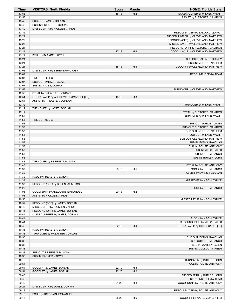| Time           | <b>VISITORS: North Florida</b>                                      | <b>Score</b> | <b>Margin</b>  | <b>HOME: Florida State</b>                            |
|----------------|---------------------------------------------------------------------|--------------|----------------|-------------------------------------------------------|
| 13:58          |                                                                     | $15-13$      | H <sub>2</sub> | GOOD! JUMPER by WILKES, WYATT                         |
| 13:58          |                                                                     |              |                | ASSIST by FLETCHER, CAM'RON                           |
| 13:42          | SUB OUT: JAMES, DORIAN                                              |              |                |                                                       |
| 13:42<br>13:40 | SUB IN: PREASTER, JORDAN<br>MISSED 3PTR by HICKLEN, JARIUS          |              |                |                                                       |
| 13:36          |                                                                     |              |                | REBOUND (DEF) by BALLARD, QUINCY                      |
| 13:29          |                                                                     |              |                | MISSED JUMPER by CLEVELAND, MATTHEW                   |
| 13:29          |                                                                     |              |                | REBOUND (OFF) by CLEVELAND, MATTHEW                   |
| 13:26          |                                                                     |              |                | MISSED LAYUP by CLEVELAND, MATTHEW                    |
| 13:24          |                                                                     |              |                | REBOUND (OFF) by FLETCHER, CAM'RON                    |
| 13:21          |                                                                     | $17-13$      | H4             | GOOD! LAYUP by CLEVELAND, MATTHEW                     |
| 13:21          | FOUL by PARKER, JADYN                                               |              |                |                                                       |
| 13:21<br>13:21 |                                                                     |              |                | SUB OUT: BALLARD, QUINCY<br>SUB IN: MCLEOD, NAHEEM    |
| 13:21          |                                                                     | $18-13$      | H <sub>5</sub> | GOOD! FT by CLEVELAND, MATTHEW                        |
| 13:08          | MISSED 3PTR by BERENBAUM, JOSH                                      |              |                |                                                       |
| 13:07          |                                                                     |              |                | REBOUND (DEF) by TEAM                                 |
| 13:07          | TIMEOUT 30SEC                                                       |              |                |                                                       |
| 13:07          | SUB OUT: PARKER, JADYN                                              |              |                |                                                       |
| 13:07          | SUB IN: JAMES, DORIAN                                               |              |                |                                                       |
| 12:59          |                                                                     |              |                | TURNOVER by CLEVELAND, MATTHEW                        |
| 12:59<br>12:54 | STEAL by PREASTER, JORDAN<br>GOOD! LAYUP by ADEDOYIN, EMMANUEL [FB] | $18-15$      | $H_3$          |                                                       |
| 12:54          | ASSIST by PREASTER, JORDAN                                          |              |                |                                                       |
| 12:32          |                                                                     |              |                | TURNOVER by WILKES, WYATT                             |
| 12:12          | TURNOVER by JAMES, DORIAN                                           |              |                |                                                       |
| 12:12          |                                                                     |              |                | STEAL by FLETCHER, CAM'RON                            |
| 11:58          |                                                                     |              |                | TURNOVER by WILKES, WYATT                             |
| 11:58          | <b>TIMEOUT MEDIA</b>                                                |              |                |                                                       |
| 11:58<br>11:58 |                                                                     |              |                | SUB OUT: WARLEY, JALEN<br>SUB OUT: FLETCHER, CAM'RON  |
| 11:58          |                                                                     |              |                | SUB OUT: MCLEOD, NAHEEM                               |
| 11:58          |                                                                     |              |                | SUB OUT: WILKES, WYATT                                |
| 11:58          |                                                                     |              |                | SUB OUT: CLEVELAND, MATTHEW                           |
| 11:58          |                                                                     |              |                | SUB IN: EVANS, RAYQUAN                                |
| 11:58          |                                                                     |              |                | SUB IN: POLITE, ANTHONY                               |
| 11:58          |                                                                     |              |                | SUB IN: MILLS, CALEB                                  |
| 11:58<br>11:58 |                                                                     |              |                | SUB IN: NGOM, TANOR                                   |
| 11:43          | TURNOVER by BERENBAUM, JOSH                                         |              |                | SUB IN: BUTLER, JOHN                                  |
| 11:43          |                                                                     |              |                | STEAL by POLITE, ANTHONY                              |
| 11:39          |                                                                     | $20 - 15$    | H 5            | GOOD! by NGOM, TANOR                                  |
| 11:39          |                                                                     |              |                | ASSIST by EVANS, RAYQUAN                              |
| 11:39          | FOUL by PREASTER, JORDAN                                            |              |                |                                                       |
| 11:38          |                                                                     |              |                | MISSED FT by NGOM, TANOR                              |
| 11:38<br>11:26 | REBOUND (DEF) by BERENBAUM, JOSH                                    |              |                |                                                       |
| 11:08          | GOOD! 3PTR by ADEDOYIN, EMMANUEL                                    | $20 - 18$    | H <sub>2</sub> | FOUL by NGOM, TANOR                                   |
| 11:08          | ASSIST by HICKLEN, JARIUS                                           |              |                |                                                       |
| 10:55          |                                                                     |              |                | MISSED LAYUP by NGOM, TANOR                           |
| 10:52          | REBOUND (DEF) by JAMES, DORIAN                                      |              |                |                                                       |
| 10:49          | MISSED 3PTR by HICKLEN, JARIUS                                      |              |                |                                                       |
| 10:45          | REBOUND (OFF) by JAMES, DORIAN                                      |              |                |                                                       |
| 10:44          | MISSED JUMPER by JAMES, DORIAN                                      |              |                |                                                       |
| 10:44<br>10:41 |                                                                     |              |                | BLOCK by NGOM, TANOR<br>REBOUND (DEF) by MILLS, CALEB |
| 10:40          |                                                                     | $22 - 18$    | H4             | GOOD! LAYUP by MILLS, CALEB [FB]                      |
| 10:33          | FOUL by PREASTER, JORDAN                                            |              |                |                                                       |
| 10:33          | TURNOVER by PREASTER, JORDAN                                        |              |                |                                                       |
| 10:33          |                                                                     |              |                | SUB OUT: EVANS, RAYQUAN                               |
| 10:33          |                                                                     |              |                | SUB OUT: NGOM, TANOR                                  |
| 10:33          |                                                                     |              |                | SUB IN: WARLEY, JALEN                                 |
| 10:33          |                                                                     |              |                | SUB IN: MCLEOD, NAHEEM                                |
| 10:33          | SUB OUT: BERENBAUM, JOSH                                            |              |                |                                                       |
| 10:33<br>10:16 | SUB IN: PARKER, JADYN                                               |              |                | TURNOVER by BUTLER, JOHN                              |
| 09:54          |                                                                     |              |                | FOUL by POLITE, ANTHONY                               |
| 09:54          | GOOD! FT by JAMES, DORIAN                                           | 22-19        | H <sub>3</sub> |                                                       |
| 09:54          | GOOD! FT by JAMES, DORIAN                                           | 22-20        | H <sub>2</sub> |                                                       |
| 09:46          |                                                                     |              |                | MISSED 3PTR by BUTLER, JOHN                           |
| 09:45          |                                                                     |              |                | REBOUND (OFF) by TEAM                                 |
| 09:40          |                                                                     | 24-20        | H4             | GOOD! DUNK by POLITE, ANTHONY                         |
| 09:21          | MISSED 3PTR by JAMES, DORIAN                                        |              |                |                                                       |
| 09:18          |                                                                     |              |                | REBOUND (DEF) by POLITE, ANTHONY                      |
| 09:16<br>09:16 | FOUL by ADEDOYIN, EMMANUEL                                          | 25-20        | H <sub>5</sub> | GOOD! FT by WARLEY, JALEN [FB]                        |
|                |                                                                     |              |                |                                                       |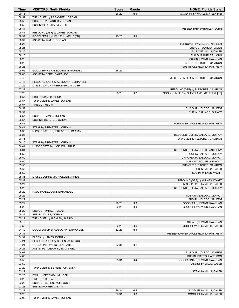| Time           | <b>VISITORS: North Florida</b>      | <b>Score</b> | <b>Margin</b>  | <b>HOME: Florida State</b>                               |
|----------------|-------------------------------------|--------------|----------------|----------------------------------------------------------|
| 09:16          |                                     | $26 - 20$    | H <sub>6</sub> | GOOD! FT by WARLEY, JALEN [FB]                           |
| 08:59          | TURNOVER by PREASTER, JORDAN        |              |                |                                                          |
| 08:59          | SUB OUT: PREASTER, JORDAN           |              |                |                                                          |
| 08:59          | SUB IN: BERENBAUM, JOSH             |              |                |                                                          |
| 08:44          |                                     |              |                | MISSED 3PTR by BUTLER, JOHN                              |
| 08:41          | REBOUND (DEF) by JAMES, DORIAN      |              |                |                                                          |
| 08:37          | GOOD! 3PTR by HICKLEN, JARIUS [FB]  | 26-23        | $H_3$          |                                                          |
| 08:37<br>08:25 | ASSIST by JAMES, DORIAN             |              |                | TURNOVER by MCLEOD, NAHEEM                               |
| 08:25          |                                     |              |                | SUB OUT: WARLEY, JALEN                                   |
| 08:25          |                                     |              |                | SUB OUT: MILLS, CALEB                                    |
| 08:25          |                                     |              |                | SUB OUT: BUTLER, JOHN                                    |
| 08:25          |                                     |              |                | SUB IN: EVANS, RAYQUAN                                   |
| 08:25          |                                     |              |                | SUB IN: FLETCHER, CAM'RON                                |
| 08:25          |                                     |              |                | SUB IN: CLEVELAND, MATTHEW                               |
| 08:06          | GOOD! 3PTR by ADEDOYIN, EMMANUEL    | 26-26        | Т              |                                                          |
| 08:06          | ASSIST by BERENBAUM, JOSH           |              |                |                                                          |
| 07:46          |                                     |              |                | MISSED JUMPER by FLETCHER, CAM'RON                       |
| 07:43          | REBOUND (DEF) by ADEDOYIN, EMMANUEL |              |                |                                                          |
| 07:26          | MISSED LAYUP by BERENBAUM, JOSH     |              |                |                                                          |
| 07:22          |                                     |              |                | REBOUND (DEF) by FLETCHER, CAM'RON                       |
| 07:20          |                                     | 28-26        | H <sub>2</sub> | GOOD! JUMPER by CLEVELAND, MATTHEW [FB]                  |
| 06:57          | FOUL by JAMES, DORIAN               |              |                |                                                          |
| 06:57          | TURNOVER by JAMES, DORIAN           |              |                |                                                          |
| 06:57          | <b>TIMEOUT MEDIA</b>                |              |                |                                                          |
| 06:57<br>06:57 |                                     |              |                | SUB OUT: MCLEOD, NAHEEM<br>SUB IN: BALLARD, QUINCY       |
| 06:57          | SUB OUT: JAMES, DORIAN              |              |                |                                                          |
| 06:57          | SUB IN: PREASTER, JORDAN            |              |                |                                                          |
| 06:41          |                                     |              |                | TURNOVER by CLEVELAND, MATTHEW                           |
| 06:41          | STEAL by PREASTER, JORDAN           |              |                |                                                          |
| 06:33          | MISSED LAYUP by PREASTER, JORDAN    |              |                |                                                          |
| 06:28          |                                     |              |                | REBOUND (DEF) by BALLARD, QUINCY                         |
| 06:15          |                                     |              |                | TURNOVER by FLETCHER, CAM'RON                            |
| 06:15          | STEAL by PREASTER, JORDAN           |              |                |                                                          |
| 06:04          | MISSED 3PTR by HICKLEN, JARIUS      |              |                |                                                          |
| 06:01          |                                     |              |                | REBOUND (DEF) by POLITE, ANTHONY                         |
| 05:50          |                                     |              |                | FOUL by BALLARD, QUINCY                                  |
| 05:50          |                                     |              |                | TURNOVER by BALLARD, QUINCY                              |
| 05:50          |                                     |              |                | SUB OUT: POLITE, ANTHONY                                 |
| 05:50          |                                     |              |                | SUB OUT: FLETCHER, CAM'RON                               |
| 05:50          |                                     |              |                | SUB IN: MILLS, CALEB                                     |
| 05:50<br>05:35 |                                     |              |                | SUB IN: WILKES, WYATT                                    |
| 05:32          | MISSED JUMPER by HICKLEN, JARIUS    |              |                | REBOUND (DEF) by WILKES, WYATT                           |
| 05:27          |                                     |              |                | MISSED 3PTR by MILLS, CALEB                              |
| 05:23          |                                     |              |                | REBOUND (OFF) by BALLARD, QUINCY                         |
| 05:22          | FOUL by ADEDOYIN, EMMANUEL          |              |                |                                                          |
| 05:22          |                                     |              |                | SUB OUT: BALLARD, QUINCY                                 |
| 05:22          |                                     |              |                | SUB IN: MCLEOD, NAHEEM                                   |
| 05:22          |                                     | 29-26        | $H_3$          | GOOD! FT by EVANS, RAYQUAN                               |
| 05:22          |                                     | 30-26        | H4             | GOOD! FT by EVANS, RAYQUAN                               |
| 05:22          | SUB OUT: PARKER, JADYN              |              |                |                                                          |
| 05:22          | SUB IN: JAMES, DORIAN               |              |                |                                                          |
| 05:12          | TURNOVER by HICKLEN, JARIUS         |              |                |                                                          |
| 05:12          |                                     |              |                | STEAL by EVANS, RAYQUAN                                  |
| 04:53          |                                     | 32-26        | H <sub>6</sub> | GOOD! LAYUP by MILLS, CALEB                              |
| 04:40          | GOOD! LAYUP by ADEDOYIN, EMMANUEL   | 32-28        | H4             |                                                          |
| 04:31          |                                     |              |                | MISSED JUMPER by CLEVELAND, MATTHEW                      |
| 04:31          | BLOCK by JAMES, DORIAN              |              |                |                                                          |
| 04:24          | REBOUND (DEF) by BERENBAUM, JOSH    |              |                |                                                          |
| 04:21          | GOOD! 3PTR by HICKLEN, JARIUS       | $32 - 31$    | H <sub>1</sub> |                                                          |
| 04:21<br>04:08 | ASSIST by ADEDOYIN, EMMANUEL        |              |                |                                                          |
| 04:08          |                                     |              |                | SUB OUT: MCLEOD, NAHEEM                                  |
| 03:50          |                                     | 35-31        | H4             | SUB IN: PRIETO, HARRISON<br>GOOD! 3PTR by EVANS, RAYQUAN |
| 03:50          |                                     |              |                | ASSIST by MILLS, CALEB                                   |
| 03:29          | TURNOVER by BERENBAUM, JOSH         |              |                |                                                          |
| 03:29          |                                     |              |                | STEAL by MILLS, CALEB                                    |
| 03:28          | FOUL by BERENBAUM, JOSH             |              |                |                                                          |
| 03:28          | <b>TIMEOUT MEDIA</b>                |              |                |                                                          |
| 03:28          | SUB OUT: BERENBAUM, JOSH            |              |                |                                                          |
| 03:28          | SUB IN: PARKER, JADYN               |              |                |                                                          |
| 03:28          |                                     | 36-31        | H <sub>5</sub> | GOOD! FT by MILLS, CALEB                                 |
| 03:28          |                                     | 37-31        | H <sub>6</sub> | GOOD! FT by MILLS, CALEB                                 |
| 03:02          | TURNOVER by JAMES, DORIAN           |              |                |                                                          |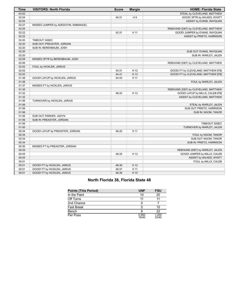| <b>Time</b> | <b>VISITORS: North Florida</b>      | <b>Score</b> | <b>Margin</b>   | <b>HOME: Florida State</b>          |
|-------------|-------------------------------------|--------------|-----------------|-------------------------------------|
| 03:02       |                                     |              |                 | STEAL by CLEVELAND, MATTHEW         |
| 02:54       |                                     | 40-31        | H9              | GOOD! 3PTR by WILKES, WYATT         |
| 02:54       |                                     |              |                 | ASSIST by EVANS, RAYQUAN            |
| 02:27       | MISSED JUMPER by ADEDOYIN, EMMANUEL |              |                 |                                     |
| 02:25       |                                     |              |                 | REBOUND (DEF) by CLEVELAND, MATTHEW |
| 02:22       |                                     | 42-31        | H 11            | GOOD! JUMPER by EVANS, RAYQUAN      |
| 02:22       |                                     |              |                 | ASSIST by PRIETO, HARRISON          |
| 02:20       | TIMEOUT 30SEC                       |              |                 |                                     |
| 02:20       | SUB OUT: PREASTER, JORDAN           |              |                 |                                     |
| 02:20       | SUB IN: BERENBAUM, JOSH             |              |                 |                                     |
| 02:20       |                                     |              |                 | SUB OUT: EVANS, RAYQUAN             |
| 02:20       |                                     |              |                 | SUB IN: WARLEY, JALEN               |
| 02:09       | MISSED 3PTR by BERENBAUM, JOSH      |              |                 |                                     |
| 02:06       |                                     |              |                 | REBOUND (DEF) by CLEVELAND, MATTHEW |
| 02:02       | FOUL by HICKLEN, JARIUS             |              |                 |                                     |
| 02:02       |                                     | 43-31        | H 12            | GOOD! FT by CLEVELAND, MATTHEW [FB] |
| 02:02       |                                     | 44-31        | H 13            | GOOD! FT by CLEVELAND, MATTHEW [FB] |
| 01:38       | GOOD! LAYUP by HICKLEN, JARIUS      | 44-33        | H <sub>11</sub> |                                     |
| 01:38       |                                     |              |                 | FOUL by WARLEY, JALEN               |
| 01:37       | MISSED FT by HICKLEN, JARIUS        |              |                 |                                     |
| 01:35       |                                     |              |                 | REBOUND (DEF) by CLEVELAND, MATTHEW |
| 01:32       |                                     | 46-33        | H 13            | GOOD! LAYUP by MILLS, CALEB [FB]    |
| 01:32       |                                     |              |                 | ASSIST by CLEVELAND, MATTHEW        |
| 01:06       | TURNOVER by HICKLEN, JARIUS         |              |                 |                                     |
| 01:06       |                                     |              |                 | STEAL by WARLEY, JALEN              |
| 01:06       |                                     |              |                 | SUB OUT: PRIETO, HARRISON           |
| 01:06       |                                     |              |                 | SUB IN: NGOM, TANOR                 |
| 01:06       | SUB OUT: PARKER, JADYN              |              |                 |                                     |
| 01:06       | SUB IN: PREASTER, JORDAN            |              |                 |                                     |
| 01:06       |                                     |              |                 | <b>TIMEOUT 30SEC</b>                |
| 01:00       |                                     |              |                 | TURNOVER by WARLEY, JALEN           |
| 00:34       | GOOD! LAYUP by PREASTER, JORDAN     | 46-35        | H 11            |                                     |
| 00:34       |                                     |              |                 | FOUL by NGOM, TANOR                 |
| 00:34       |                                     |              |                 | SUB OUT: NGOM, TANOR                |
| 00:34       |                                     |              |                 | SUB IN: PRIETO, HARRISON            |
| 00:30       | MISSED FT by PREASTER, JORDAN       |              |                 |                                     |
| 00:29       |                                     |              |                 | REBOUND (DEF) by WARLEY, JALEN      |
| 00:05       |                                     | 48-35        | H 13            | GOOD! JUMPER by MILLS, CALEB        |
| 00:05       |                                     |              |                 | ASSIST by WILKES, WYATT             |
| 00:01       |                                     |              |                 | FOUL by MILLS, CALEB                |
| 00:01       | GOOD! FT by HICKLEN, JARIUS         | 48-36        | H 12            |                                     |
| 00:01       | GOOD! FT by HICKLEN, JARIUS         | 48-37        | H 11            |                                     |
| 00:01       | GOOD! FT by HICKLEN, JARIUS         | 48-38        | H 10            |                                     |

## **North Florida 38, Florida State 48**

| <b>Points (This Period)</b> | <b>UNF</b>     | <b>FSU</b>     |
|-----------------------------|----------------|----------------|
| In the Paint                | 10             | 20             |
| Off Turns                   |                |                |
| 2nd Chance                  |                |                |
| Fast Break                  | 5              | 10             |
| Bench                       |                | 22             |
| Per Poss                    | 0.950<br>16/40 | 1.200<br>23/40 |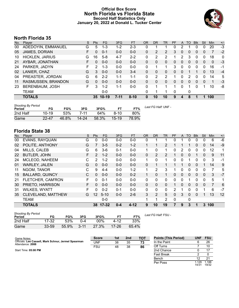## **Official Box Score North Florida vs Florida State Second Half Statistics Only January 20, 2022 at Donald L. Tucker Center**



# **North Florida 35**

| No. | Plaver                 | S  | <b>Pts</b> | FG      | 3FG     | <b>FT</b> | <b>OR</b> | <b>DR</b> | TR       | PF       | A        | <b>TO</b> | <b>Blk</b> | Stl      | Min | $+/-$ |
|-----|------------------------|----|------------|---------|---------|-----------|-----------|-----------|----------|----------|----------|-----------|------------|----------|-----|-------|
| 00  | ADEDOYIN, EMMANUEL     | G  | 5          | $1 - 3$ | $1 - 2$ | $2 - 3$   | 0         |           |          | 0        | 2        |           | 0          | 0        | 20  | $-3$  |
| 05  | JAMES, DORIAN          | F. | $\Omega$   | $0 - 1$ | $0 - 0$ | $0 - 0$   | 0         | 2         | 2        | 3        | 0        | 0         | 0          | 0        | 7   | $-2$  |
| 10  | <b>HICKLEN, JARIUS</b> | G  | 16         | $5-8$   | $4 - 7$ | $2 - 2$   | 0         | 2         | 2        | 1        | 2        | 3         | 0          | 0        | 18  | 0     |
| 21  | AYBAR, JONATHAN        | F. | 0          | $0 - 0$ | $0 - 0$ | $0 - 0$   | 0         | 0         | $\Omega$ | 0        | 0        | $\Omega$  | $\Omega$   | $\Omega$ | 0   | -3    |
| 24  | PARKER, JADYN          | F  | 2          | $1 - 3$ | $0 - 0$ | $0 - 0$   | 0         | 1         | 1        | 3        | $\Omega$ | 0         | 0          | 0        | 16  | -1    |
| 02  | LANIER, CHAZ           | G  | 3          | $0 - 0$ | $0 - 0$ | $3 - 4$   | 0         | 0         | 0        | 0        | 0        |           |            | 0        | 13  | $-4$  |
| 04  | PREASTER, JORDAN       | G  | 6          | $2 - 2$ | $1 - 1$ | $1 - 1$   | 0         | 2         | 2        |          | 0        | 2         | 0          | 0        | 14  | 5     |
| 11  | RASMUSSEN, BRANDON     | G  | 0          | $0 - 0$ | $0 - 0$ | $0 - 0$   | 0         | 0         | 0        | 0        | 0        | 0         | 0          | $\Omega$ | 1   | $-3$  |
| 23  | BERENBAUM, JOSH        | F. | 3          | $1 - 2$ | $1 - 1$ | $0 - 0$   | 0         | 1         |          | 1        | 0        |           | 0          |          | 10  | -8    |
|     | TEAM                   |    |            | $0 - 0$ |         |           | 0         | 1         |          | $\Omega$ |          | 0         |            |          |     |       |
|     | <b>TOTALS</b>          |    | 35         | $10-19$ | $7-11$  | $8 - 10$  | 0         | 10        | 10       | 9        | 4        | 8         |            | 1        | 100 |       |

| <b>Shooting By Period</b><br>Period | FG        | FG%   | 3FG       | 3FG%  | FT.     | FT%   | Last FG Half: UNF - |
|-------------------------------------|-----------|-------|-----------|-------|---------|-------|---------------------|
| 2nd Half                            | $10-19$   | .53%  | 7-11      | 64%   | 8-10    | 80%   |                     |
| Game                                | $22 - 47$ | 46.8% | $14 - 24$ | 58.3% | $15-19$ | 78.9% |                     |

# **Florida State 38**

| No. | Player                 | S  | <b>Pts</b>      | <b>FG</b> | 3FG     | <b>FT</b> | <b>OR</b>    | <b>DR</b>      | TR           | PF             | A              | <b>TO</b> | <b>Blk</b>   | Stl      | Min            | $+/-$ |
|-----|------------------------|----|-----------------|-----------|---------|-----------|--------------|----------------|--------------|----------------|----------------|-----------|--------------|----------|----------------|-------|
| 00  | <b>EVANS, RAYQUAN</b>  | G  | 0               | $0 - 0$   | $0-0$   | $0-0$     | 0            |                |              | 0              |                | 0         | 0            | 0        | 6              | $-6$  |
| 02  | POLITE, ANTHONY        | G  | 7               | $3-5$     | $0 - 2$ | $1 - 2$   | 1            | 1              | 2            |                | 1              | 1         | $\mathbf{0}$ | $\Omega$ | 14             | $-9$  |
| 04  | MILLS, CALEB           | G  | 6.              | $3-6$     | $0 - 1$ | $0 - 0$   | 1            | 0              | 1            | 0              | $\overline{2}$ | 0         | 0            | $\Omega$ | 12             | 1     |
| 22  | <b>BUTLER, JOHN</b>    | F  | $\mathcal{P}$   | $1 - 2$   | $0 - 0$ | $0 - 0$   | $\mathbf{0}$ | 2              | 2            |                | 0              | 0         |              | 0        | 9              | 11    |
| 24  | MCLEOD, NAHEEM         | С  | 2               | $1 - 2$   | $0 - 0$ | $0 - 0$   | 1            | 0              | 1            | 0              | 0              | 1         | 0            | 0        | 3              | $-1$  |
| 01  | <b>WARLEY, JALEN</b>   | G  | 0               | $0 - 0$   | $0 - 0$ | $0 - 0$   | $\Omega$     | 1              |              |                | 1              | 0         | $\mathbf{0}$ |          | 14             | 9     |
| 11  | NGOM, TANOR            | С  | 9               | $4 - 4$   | $0 - 0$ | $1 - 2$   | 1            | 2              | 3            |                | 0              | 0         | 0            | 0        | 7              | 5     |
| 15  | <b>BALLARD, QUINCY</b> | C  | $\Omega$        | $0 - 0$   | $0 - 0$ | $0 - 2$   | 1.           | $\Omega$       | 1            | 0              | $\mathbf{0}$   | 0         | $\mathbf{0}$ | 0        | 3              | $-7$  |
| 21  | FLETCHER, CAM'RON      | F. | 0               | $0 - 1$   | $0 - 0$ | $0 - 0$   | $\Omega$     | 0              | $\mathbf{0}$ | 0              | 0              | 1         | $\Omega$     | $\Omega$ | 5              | 1     |
| 30  | PRIETO, HARRISON       | F  | 0               | $0 - 0$   | $0 - 0$ | $0 - 0$   | $\mathbf{0}$ | $\Omega$       | $\mathbf{0}$ |                | $\Omega$       | 0         | $\mathbf{0}$ | 0        | $\overline{7}$ | 6     |
| 31  | <b>WILKES, WYATT</b>   | F  | 0               | $0 - 2$   | $0 - 1$ | $0 - 0$   | $\mathbf{0}$ | $\mathbf{0}$   | $\mathbf{0}$ | $\overline{2}$ | 1              | 0         | $\Omega$     |          | 6              | $-7$  |
| 35  | CLEVELAND, MATTHEW     | G  | 12 <sup>°</sup> | $5 - 10$  | $0 - 0$ | $2 - 6$   | 3            | $\overline{2}$ | 5            | 0              | 3              | 0         | $\Omega$     |          | 13             | 12    |
|     | <b>TEAM</b>            |    |                 | $0-0$     |         |           | 1            |                | 2            | $\mathbf 0$    |                | 0         |              |          |                |       |
|     | <b>TOTALS</b>          |    | 38.             | $17 - 32$ | $0 - 4$ | $4 - 12$  | 9            | 10             | 19           | 7              | 9              | 3         | 1            |          | 3 100          |       |
|     | Chooting Du Doriod     |    |                 |           |         |           |              |                |              |                |                |           |              |          |                |       |

| Shooting by Feriou<br>Period | FG        | FG%   | 3FG      | 3FG%   |           | FT%   |  |
|------------------------------|-----------|-------|----------|--------|-----------|-------|--|
| 2nd Half                     | 17-32     | 53%   | 0-4      | $00\%$ | 4-12      | 33%   |  |
| Game                         | $33 - 59$ | 55.9% | $3 - 11$ | 27.3%  | $17 - 26$ | 65.4% |  |

*Last FG Half:* FSU -

| Game Notes:                                                              | <b>Score</b> | 1st | 2 <sub>nd</sub> | тот | <b>Points (This Period)</b> | UNF            | <b>FSU</b>     |
|--------------------------------------------------------------------------|--------------|-----|-----------------|-----|-----------------------------|----------------|----------------|
| Officials: Lee Cassell, Mark Schnur, Jermel Spearman<br>Attendance: 2088 | UNF          | 38  | 35              | 73  | In the Paint                |                | 26             |
|                                                                          | <b>FSU</b>   | 48  | 38              | 86  | Off Turns                   |                | 10             |
| Start Time: 05:00 PM                                                     |              |     |                 |     | 2nd Chance                  |                |                |
|                                                                          |              |     |                 |     | <b>Fast Break</b>           |                |                |
|                                                                          |              |     |                 |     | Bench                       |                | 21             |
|                                                                          |              |     |                 |     | Per Poss                    | l.129<br>14/31 | 1.188<br>19/32 |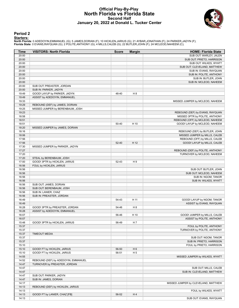#### **Official Play-By-Play North Florida vs Florida State Second Half January 20, 2022 at Donald L. Tucker Center**



#### **Period 2**

#### **Starters:**

**North Florida**: 0 ADEDOYIN,EMMANUEL (G); 5 JAMES,DORIAN (F); 10 HICKLEN,JARIUS (G); 21 AYBAR,JONATHAN (F); 24 PARKER,JADYN (F);<br>**Florida State**: 0 EVANS,RAYQUAN (G); 2 POLITE,ANTHONY (G); 4 MILLS,CALEB (G); 22 BUTLER,JOHN

| Time           | <b>VISITORS: North Florida</b>      | <b>Score</b> | <b>Margin</b>  | <b>HOME: Florida State</b>                                        |
|----------------|-------------------------------------|--------------|----------------|-------------------------------------------------------------------|
| 20:00          |                                     |              |                | SUB OUT: WARLEY, JALEN                                            |
| 20:00          |                                     |              |                | SUB OUT: PRIETO, HARRISON                                         |
| 20:00          |                                     |              |                | SUB OUT: WILKES, WYATT                                            |
| 20:00          |                                     |              |                | SUB OUT: CLEVELAND, MATTHEW                                       |
| 20:00          |                                     |              |                | SUB IN: EVANS, RAYQUAN                                            |
| 20:00          |                                     |              |                | SUB IN: POLITE, ANTHONY                                           |
| 20:00          |                                     |              |                | SUB IN: BUTLER, JOHN                                              |
| 20:00          |                                     |              |                | SUB IN: MCLEOD, NAHEEM                                            |
| 20:00          | SUB OUT: PREASTER, JORDAN           |              |                |                                                                   |
| 20:00          | SUB IN: PARKER, JADYN               |              |                |                                                                   |
| 19:49          | GOOD! LAYUP by PARKER, JADYN        | 48-40        | H <sub>8</sub> |                                                                   |
| 19:49          | ASSIST by ADEDOYIN, EMMANUEL        |              |                |                                                                   |
| 19:33          |                                     |              |                | MISSED JUMPER by MCLEOD, NAHEEM                                   |
| 19:29<br>19:25 | REBOUND (DEF) by JAMES, DORIAN      |              |                |                                                                   |
| 19:23          | MISSED JUMPER by BERENBAUM, JOSH    |              |                |                                                                   |
| 18:58          |                                     |              |                | REBOUND (DEF) by EVANS, RAYQUAN<br>MISSED 3PTR by POLITE, ANTHONY |
| 18:51          |                                     |              |                | REBOUND (OFF) by MCLEOD, NAHEEM                                   |
| 18:51          |                                     | 50-40        | H 10           | GOOD! LAYUP by MCLEOD, NAHEEM                                     |
| 18:20          | MISSED JUMPER by JAMES, DORIAN      |              |                |                                                                   |
| 18:16          |                                     |              |                | REBOUND (DEF) by BUTLER, JOHN                                     |
| 18:06          |                                     |              |                | MISSED JUMPER by MILLS, CALEB                                     |
| 17:56          |                                     |              |                | REBOUND (OFF) by MILLS, CALEB                                     |
| 17:56          |                                     | 52-40        | H 12           | GOOD! LAYUP by MILLS, CALEB                                       |
| 17:30          | MISSED JUMPER by PARKER, JADYN      |              |                |                                                                   |
| 17:27          |                                     |              |                | REBOUND (DEF) by POLITE, ANTHONY                                  |
| 17:20          |                                     |              |                | TURNOVER by MCLEOD, NAHEEM                                        |
| 17:20          | STEAL by BERENBAUM, JOSH            |              |                |                                                                   |
| 17:00          | GOOD! 3PTR by HICKLEN, JARIUS       | 52-43        | H9             |                                                                   |
| 16:56          | FOUL by HICKLEN, JARIUS             |              |                |                                                                   |
| 16:56          |                                     |              |                | SUB OUT: BUTLER, JOHN                                             |
| 16:56          |                                     |              |                | SUB OUT: MCLEOD, NAHEEM                                           |
| 16:56          |                                     |              |                | SUB IN: NGOM, TANOR                                               |
| 16:56          |                                     |              |                | SUB IN: WILKES, WYATT                                             |
| 16:56          | SUB OUT: JAMES, DORIAN              |              |                |                                                                   |
| 16:56          | SUB OUT: BERENBAUM, JOSH            |              |                |                                                                   |
| 16:56          | SUB IN: LANIER, CHAZ                |              |                |                                                                   |
| 16:56          | SUB IN: PREASTER, JORDAN            |              |                |                                                                   |
| 16:49          |                                     | 54-43        | H 11           | GOOD! LAYUP by NGOM, TANOR                                        |
| 16:49          |                                     |              |                | ASSIST by EVANS, RAYQUAN                                          |
| 16:28          | GOOD! 3PTR by PREASTER, JORDAN      | 54-46        | H <sub>8</sub> |                                                                   |
| 16:28          | ASSIST by ADEDOYIN, EMMANUEL        |              |                |                                                                   |
| 16:07          |                                     | 56-46        | H 10           | GOOD! JUMPER by MILLS, CALEB                                      |
| 16:07          |                                     |              |                | ASSIST by POLITE, ANTHONY                                         |
| 15:48<br>15:37 | GOOD! 3PTR by HICKLEN, JARIUS       | 56-49        | H 7            | FOUL by POLITE, ANTHONY                                           |
| 15:37          |                                     |              |                | TURNOVER by POLITE, ANTHONY                                       |
| 15:37          | <b>TIMEOUT MEDIA</b>                |              |                |                                                                   |
| 15:37          |                                     |              |                | SUB OUT: NGOM, TANOR                                              |
| 15:37          |                                     |              |                | SUB IN: PRIETO, HARRISON                                          |
| 15:10          |                                     |              |                | FOUL by PRIETO, HARRISON                                          |
| 15:10          | GOOD! FT by HICKLEN, JARIUS         | 56-50        | H <sub>6</sub> |                                                                   |
| 15:10          | GOOD! FT by HICKLEN, JARIUS         | 56-51        | H <sub>5</sub> |                                                                   |
| 14:55          |                                     |              |                | MISSED JUMPER by WILKES, WYATT                                    |
| 14:52          | REBOUND (DEF) by ADEDOYIN, EMMANUEL |              |                |                                                                   |
| 14:47          | TURNOVER by PREASTER, JORDAN        |              |                |                                                                   |
| 14:47          |                                     |              |                | SUB OUT: MILLS, CALEB                                             |
| 14:47          |                                     |              |                | SUB IN: CLEVELAND, MATTHEW                                        |
| 14:47          | SUB OUT: PARKER, JADYN              |              |                |                                                                   |
| 14:47          | SUB IN: JAMES, DORIAN               |              |                |                                                                   |
| 14:17          |                                     |              |                | MISSED JUMPER by CLEVELAND, MATTHEW                               |
| 14:13          | REBOUND (DEF) by HICKLEN, JARIUS    |              |                |                                                                   |
| 14:13          |                                     |              |                | FOUL by WILKES, WYATT                                             |
| 14:13          | GOOD! FT by LANIER, CHAZ [FB]       | 56-52        | H4             |                                                                   |
| 14:13          |                                     |              |                | SUB OUT: EVANS, RAYQUAN                                           |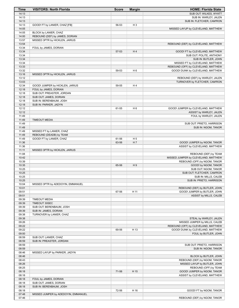| Time           | <b>VISITORS: North Florida</b>      | <b>Score</b> | <b>Margin</b>  | <b>HOME: Florida State</b>          |
|----------------|-------------------------------------|--------------|----------------|-------------------------------------|
| 14:13          |                                     |              |                | SUB OUT: WILKES, WYATT              |
| 14:13          |                                     |              |                | SUB IN: WARLEY, JALEN               |
| 14:13          |                                     |              |                | SUB IN: FLETCHER, CAM'RON           |
| 14:13          | GOOD! FT by LANIER, CHAZ [FB]       | 56-53        | $H_3$          |                                     |
| 14:05          |                                     |              |                | MISSED LAYUP by CLEVELAND, MATTHEW  |
| 14:05          | BLOCK by LANIER, CHAZ               |              |                |                                     |
| 14:00          | REBOUND (DEF) by JAMES, DORIAN      |              |                |                                     |
| 13:57          | MISSED 3PTR by HICKLEN, JARIUS      |              |                |                                     |
| 13:54          |                                     |              |                | REBOUND (DEF) by CLEVELAND, MATTHEW |
| 13:34          | FOUL by JAMES, DORIAN               |              |                |                                     |
| 13:34          |                                     | 57-53        | H4             | GOOD! FT by CLEVELAND, MATTHEW      |
| 13:34          |                                     |              |                | SUB OUT: POLITE, ANTHONY            |
| 13:34          |                                     |              |                | SUB IN: BUTLER, JOHN                |
| 13:34          |                                     |              |                | MISSED FT by CLEVELAND, MATTHEW     |
| 13:33          |                                     |              |                | REBOUND (OFF) by CLEVELAND, MATTHEW |
| 13:32          |                                     | 59-53        | H <sub>6</sub> | GOOD! DUNK by CLEVELAND, MATTHEW    |
| 13:16          | MISSED 3PTR by HICKLEN, JARIUS      |              |                |                                     |
| 13:12          |                                     |              |                | REBOUND (DEF) by WARLEY, JALEN      |
| 13:03          |                                     |              |                | TURNOVER by FLETCHER, CAM'RON       |
| 12:34          | GOOD! JUMPER by HICKLEN, JARIUS     | 59-55        | H4             |                                     |
| 12:18          | FOUL by JAMES, DORIAN               |              |                |                                     |
| 12:18          | SUB OUT: PREASTER, JORDAN           |              |                |                                     |
| 12:18          | SUB OUT: JAMES, DORIAN              |              |                |                                     |
| 12:18          | SUB IN: BERENBAUM, JOSH             |              |                |                                     |
| 12:18<br>12:12 | SUB IN: PARKER, JADYN               |              |                |                                     |
| 12:12          |                                     | 61-55        | H <sub>6</sub> | GOOD! JUMPER by CLEVELAND, MATTHEW  |
| 11:49          |                                     |              |                | ASSIST by WARLEY, JALEN             |
| 11:49          | <b>TIMEOUT MEDIA</b>                |              |                | FOUL by WARLEY, JALEN               |
| 11:49          |                                     |              |                | SUB OUT: PRIETO, HARRISON           |
| 11:49          |                                     |              |                | SUB IN: NGOM, TANOR                 |
| 11:49          | MISSED FT by LANIER, CHAZ           |              |                |                                     |
| 11:49          | REBOUND (DEADB) by TEAM             |              |                |                                     |
| 11:49          | GOOD! FT by LANIER, CHAZ            | 61-56        | H <sub>5</sub> |                                     |
| 11:36          |                                     | 63-56        | H 7            | GOOD! JUMPER by NGOM, TANOR         |
| 11:36          |                                     |              |                | ASSIST by CLEVELAND, MATTHEW        |
| 11:11          | MISSED 3PTR by HICKLEN, JARIUS      |              |                |                                     |
| 11:08          |                                     |              |                | REBOUND (DEF) by TEAM               |
| 10:42          |                                     |              |                | MISSED JUMPER by CLEVELAND, MATTHEW |
| 10:39          |                                     |              |                | REBOUND (OFF) by NGOM, TANOR        |
| 10:35          |                                     | 65-56        | H9             | GOOD! by NGOM, TANOR                |
| 10:25          |                                     |              |                | SUB OUT: NGOM, TANOR                |
| 10:25          |                                     |              |                | SUB OUT: FLETCHER, CAM'RON          |
| 10:25          |                                     |              |                | SUB IN: MILLS, CALEB                |
| 10:25          |                                     |              |                | SUB IN: PRIETO, HARRISON            |
| 10:04          | MISSED 3PTR by ADEDOYIN, EMMANUEL   |              |                |                                     |
| 10:01          |                                     |              |                | REBOUND (DEF) by BUTLER, JOHN       |
| 09:51          |                                     | 67-56        | H 11           | GOOD! JUMPER by BUTLER, JOHN        |
| 09:51          |                                     |              |                | ASSIST by MILLS, CALEB              |
| 09:39          | <b>TIMEOUT MEDIA</b>                |              |                |                                     |
| 09:39          | TIMEOUT 30SEC                       |              |                |                                     |
| 09:39          | SUB OUT: BERENBAUM, JOSH            |              |                |                                     |
| 09:39          | SUB IN: JAMES, DORIAN               |              |                |                                     |
| 09:38          | TURNOVER by LANIER, CHAZ            |              |                |                                     |
| 09:38          |                                     |              |                | STEAL by WARLEY, JALEN              |
| 09:26          |                                     |              |                | MISSED JUMPER by MILLS, CALEB       |
| 09:22          |                                     |              |                | REBOUND (OFF) by CLEVELAND, MATTHEW |
| 09:22          |                                     | 69-56        | H 13           | GOOD! DUNK by CLEVELAND, MATTHEW    |
| 09:00          |                                     |              |                | FOUL by BUTLER, JOHN                |
| 08:59          | SUB OUT: LANIER, CHAZ               |              |                |                                     |
| 08:59          | SUB IN: PREASTER, JORDAN            |              |                |                                     |
| 08:59          |                                     |              |                | SUB OUT: PRIETO, HARRISON           |
| 08:59          |                                     |              |                | SUB IN: NGOM, TANOR                 |
| 08:46          | MISSED LAYUP by PARKER, JADYN       |              |                |                                     |
| 08:46          |                                     |              |                | BLOCK by BUTLER, JOHN               |
| 08:43          |                                     |              |                | REBOUND (DEF) by NGOM, TANOR        |
| 08:26          |                                     |              |                | MISSED LAYUP by BUTLER, JOHN        |
| 08:25          |                                     |              |                | REBOUND (OFF) by TEAM               |
| 08:18          |                                     | 71-56        | H 15           | GOOD! JUMPER by NGOM, TANOR         |
| 08:18          |                                     |              |                | ASSIST by CLEVELAND, MATTHEW        |
| 08:18          | FOUL by JAMES, DORIAN               |              |                |                                     |
| 08:18          | SUB OUT: JAMES, DORIAN              |              |                |                                     |
| 08:18          | SUB IN: BERENBAUM, JOSH             |              |                |                                     |
| 08:18          |                                     | 72-56        | H 16           | GOOD! FT by NGOM, TANOR             |
| 07:48          | MISSED JUMPER by ADEDOYIN, EMMANUEL |              |                |                                     |
| 07:46          |                                     |              |                | REBOUND (DEF) by NGOM, TANOR        |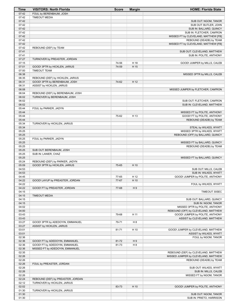| Time           | <b>VISITORS: North Florida</b>    | <b>Score</b> | <b>Margin</b>  | <b>HOME: Florida State</b>                                      |
|----------------|-----------------------------------|--------------|----------------|-----------------------------------------------------------------|
| 07:42          | FOUL by BERENBAUM, JOSH           |              |                |                                                                 |
| 07:42          | <b>TIMEOUT MEDIA</b>              |              |                |                                                                 |
| 07:42          |                                   |              |                | SUB OUT: NGOM, TANOR                                            |
| 07:42          |                                   |              |                | SUB OUT: BUTLER, JOHN                                           |
| 07:42          |                                   |              |                | SUB IN: BALLARD, QUINCY                                         |
| 07:42          |                                   |              |                | SUB IN: FLETCHER, CAM'RON                                       |
| 07:42<br>07:42 |                                   |              |                | MISSED FT by CLEVELAND, MATTHEW [FB]                            |
| 07:42          |                                   |              |                | REBOUND (DEADB) by TEAM<br>MISSED FT by CLEVELAND, MATTHEW [FB] |
| 07:42          | REBOUND (DEF) by TEAM             |              |                |                                                                 |
| 07:41          |                                   |              |                | SUB OUT: CLEVELAND, MATTHEW                                     |
| 07:41          |                                   |              |                | SUB IN: POLITE, ANTHONY                                         |
| 07:27          | TURNOVER by PREASTER, JORDAN      |              |                |                                                                 |
| 07:15          |                                   | 74-56        | H 18           | GOOD! JUMPER by MILLS, CALEB                                    |
| 07:01          | GOOD! 3PTR by HICKLEN, JARIUS     | 74-59        | H 15           |                                                                 |
| 07:00          | <b>TIMEOUT TEAM</b>               |              |                |                                                                 |
| 06:38          |                                   |              |                | MISSED 3PTR by MILLS, CALEB                                     |
| 06:35          | REBOUND (DEF) by HICKLEN, JARIUS  |              |                |                                                                 |
| 06:31          | GOOD! 3PTR by BERENBAUM, JOSH     | 74-62        | H 12           |                                                                 |
| 06:31          | ASSIST by HICKLEN, JARIUS         |              |                |                                                                 |
| 06:08          |                                   |              |                | MISSED JUMPER by FLETCHER, CAM'RON                              |
| 06:04          | REBOUND (DEF) by BERENBAUM, JOSH  |              |                |                                                                 |
| 06:02          | TURNOVER by BERENBAUM, JOSH       |              |                |                                                                 |
| 06:02          |                                   |              |                | SUB OUT: FLETCHER, CAM'RON                                      |
| 06:02<br>05:44 | FOUL by PARKER, JADYN             |              |                | SUB IN: CLEVELAND, MATTHEW                                      |
| 05:44          |                                   |              |                | MISSED FT by POLITE, ANTHONY                                    |
| 05:44          |                                   | 75-62        | H 13           | <b>GOOD! FT by POLITE, ANTHONY</b>                              |
| 05:44          |                                   |              |                | REBOUND (DEADB) by TEAM                                         |
| 05:34          | TURNOVER by HICKLEN, JARIUS       |              |                |                                                                 |
| 05:34          |                                   |              |                | STEAL by WILKES, WYATT                                          |
| 05:25          |                                   |              |                | MISSED 3PTR by WILKES, WYATT                                    |
| 05:25          |                                   |              |                | REBOUND (OFF) by BALLARD, QUINCY                                |
| 05:25          | FOUL by PARKER, JADYN             |              |                |                                                                 |
| 05:25          |                                   |              |                | MISSED FT by BALLARD, QUINCY                                    |
| 05:25          |                                   |              |                | REBOUND (DEADB) by TEAM                                         |
| 05:25          | SUB OUT: BERENBAUM, JOSH          |              |                |                                                                 |
| 05:25          | SUB IN: LANIER, CHAZ              |              |                |                                                                 |
| 05:25          |                                   |              |                | MISSED FT by BALLARD, QUINCY                                    |
| 05:24          | REBOUND (DEF) by PARKER, JADYN    |              |                |                                                                 |
| 05:09<br>04:53 | GOOD! 3PTR by HICKLEN, JARIUS     | 75-65        | H 10           | SUB OUT: MILLS, CALEB                                           |
| 04:53          |                                   |              |                | SUB IN: WILKES, WYATT                                           |
| 04:45          |                                   | 77-65        | H 12           | GOOD! JUMPER by POLITE, ANTHONY                                 |
| 04:22          | GOOD! LAYUP by PREASTER, JORDAN   | 77-67        | H 10           |                                                                 |
| 04:22          |                                   |              |                | FOUL by WILKES, WYATT                                           |
| 04:22          | GOOD! FT by PREASTER, JORDAN      | 77-68        | H9             |                                                                 |
| 04:15          |                                   |              |                | TIMEOUT 30SEC                                                   |
| 04:15          | <b>TIMEOUT MEDIA</b>              |              |                |                                                                 |
| 04:15          |                                   |              |                | SUB OUT: BALLARD, QUINCY                                        |
| 04:15          |                                   |              |                | SUB IN: NGOM, TANOR                                             |
| 04:02          |                                   |              |                | MISSED 3PTR by POLITE, ANTHONY                                  |
| 04:00          |                                   |              |                | REBOUND (OFF) by CLEVELAND, MATTHEW                             |
| 03:43          |                                   | 79-68        | H 11           | GOOD! JUMPER by POLITE, ANTHONY                                 |
| 03:43          |                                   |              |                | ASSIST by CLEVELAND, MATTHEW                                    |
| 03:27          | GOOD! 3PTR by ADEDOYIN, EMMANUEL  | 79-71        | H <sub>8</sub> |                                                                 |
| 03:27<br>03:01 | ASSIST by HICKLEN, JARIUS         |              |                | GOOD! JUMPER by CLEVELAND, MATTHEW                              |
| 03:01          |                                   | 81-71        | H 10           | ASSIST by WILKES, WYATT                                         |
| 02:36          |                                   |              |                | FOUL by NGOM, TANOR                                             |
| 02:36          | GOOD! FT by ADEDOYIN, EMMANUEL    | 81-72        | H9             |                                                                 |
| 02:36          | GOOD! FT by ADEDOYIN, EMMANUEL    | 81-73        | H <sub>8</sub> |                                                                 |
| 02:36          | MISSED FT by ADEDOYIN, EMMANUEL   |              |                |                                                                 |
| 02:35          |                                   |              |                | REBOUND (DEF) by CLEVELAND, MATTHEW                             |
| 02:26          |                                   |              |                | MISSED JUMPER by CLEVELAND, MATTHEW                             |
| 02:26          |                                   |              |                | REBOUND (DEADB) by TEAM                                         |
| 02:26          | FOUL by PREASTER, JORDAN          |              |                |                                                                 |
| 02:26          |                                   |              |                | SUB OUT: WILKES, WYATT                                          |
| 02:26          |                                   |              |                | SUB IN: MILLS, CALEB                                            |
| 02:26          |                                   |              |                | MISSED FT by NGOM, TANOR                                        |
| 02:24          | REBOUND (DEF) by PREASTER, JORDAN |              |                |                                                                 |
| 02:12          | TURNOVER by HICKLEN, JARIUS       |              |                |                                                                 |
| 02:02          |                                   | 83-73        | H 10           | GOOD! JUMPER by POLITE, ANTHONY                                 |
| 01:30          | TURNOVER by HICKLEN, JARIUS       |              |                |                                                                 |
| 01:30          |                                   |              |                | SUB OUT: NGOM, TANOR                                            |
| 01:30          |                                   |              |                | SUB IN: PRIETO, HARRISON                                        |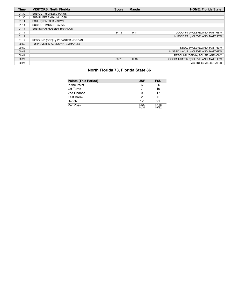| <b>Time</b> | <b>VISITORS: North Florida</b>    | <b>Score</b> | <b>Margin</b> | <b>HOME: Florida State</b>         |
|-------------|-----------------------------------|--------------|---------------|------------------------------------|
| 01:30       | SUB OUT: HICKLEN, JARIUS          |              |               |                                    |
| 01:30       | SUB IN: BERENBAUM, JOSH           |              |               |                                    |
| 01:14       | FOUL by PARKER, JADYN             |              |               |                                    |
| 01:14       | SUB OUT: PARKER, JADYN            |              |               |                                    |
| 01:14       | SUB IN: RASMUSSEN, BRANDON        |              |               |                                    |
| 01:14       |                                   | 84-73        | H 11          | GOOD! FT by CLEVELAND, MATTHEW     |
| 01:14       |                                   |              |               | MISSED FT by CLEVELAND, MATTHEW    |
| 01:12       | REBOUND (DEF) by PREASTER, JORDAN |              |               |                                    |
| 00:59       | TURNOVER by ADEDOYIN, EMMANUEL    |              |               |                                    |
| 00:59       |                                   |              |               | STEAL by CLEVELAND. MATTHEW        |
| 00:43       |                                   |              |               | MISSED LAYUP by CLEVELAND, MATTHEW |
| 00:41       |                                   |              |               | REBOUND (OFF) by POLITE, ANTHONY   |
| 00:27       |                                   | 86-73        | H 13          | GOOD! JUMPER by CLEVELAND, MATTHEW |
| 00:27       |                                   |              |               | ASSIST by MILLS, CALEB             |

# **North Florida 73, Florida State 86**

| <b>Points (This Period)</b> | <b>UNF</b>     | <b>FSU</b>     |
|-----------------------------|----------------|----------------|
| In the Paint                | 6              | 26             |
| Off Turns                   |                | 10             |
| 2nd Chance                  |                | 17             |
| <b>Fast Break</b>           | っ              |                |
| Bench                       | 12             | 21             |
| Per Poss                    | 1.129<br>14/31 | 1.188<br>19/32 |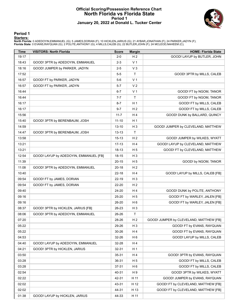#### **Official Scoring/Possession Reference Chart North Florida vs Florida State Period 1 January 20, 2022 at Donald L. Tucker Center**



#### **Period 1**

<mark>Starters :</mark><br>North Florida: 0 ADEDOYIN,EMMANUEL (G); 5 JAMES,DORIAN (F); 10 HICKLEN,JARIUS (G); 21 AYBAR,JONATHAN (F); 24 PARKER,JADYN (F);<br>Florida State: 0 EVANS,RAYQUAN (G); 2 POLITE,ANTHONY (G); 4 MILLS,CALEB (G); 22 BU

| 19:17<br>H <sub>2</sub><br>GOOD! LAYUP by BUTLER, JOHN<br>$2 - 0$<br>V <sub>1</sub><br>18:43<br>GOOD! 3PTR by ADEDOYIN, EMMANUEL<br>$2 - 3$<br>$V_3$<br>18:16<br>GOOD! JUMPER by PARKER, JADYN<br>$2 - 5$<br>$\mathsf T$<br>GOOD! 3PTR by MILLS, CALEB<br>17:52<br>$5-5$<br>V <sub>1</sub><br>16:57<br>GOOD! FT by PARKER, JADYN<br>$5-6$<br>16:57<br>GOOD! FT by PARKER, JADYN<br>$5 - 7$<br>V <sub>2</sub><br>16:44<br>V <sub>1</sub><br>$6 - 7$<br>GOOD! FT by NGOM, TANOR<br>T<br>16:44<br>$7 - 7$<br>GOOD! FT by NGOM, TANOR<br>H <sub>1</sub><br>16:17<br>$8 - 7$<br>GOOD! FT by MILLS, CALEB<br>16:17<br>$9 - 7$<br>H <sub>2</sub><br>GOOD! FT by MILLS, CALEB<br>15:56<br>H <sub>4</sub><br>$11 - 7$<br>GOOD! DUNK by BALLARD, QUINCY<br>H <sub>1</sub><br>15:40<br>GOOD! 3PTR by BERENBAUM, JOSH<br>$11 - 10$<br>$H_3$<br>14:59<br>$13 - 10$<br>GOOD! JUMPER by CLEVELAND, MATTHEW<br>T<br>14:47<br>GOOD! 3PTR by BERENBAUM, JOSH<br>$13 - 13$<br>H <sub>2</sub><br>13:58<br>$15 - 13$<br>GOOD! JUMPER by WILKES, WYATT<br>13:21<br>H4<br>GOOD! LAYUP by CLEVELAND, MATTHEW<br>17-13<br>13:21<br>$18 - 13$<br>H <sub>5</sub><br>GOOD! FT by CLEVELAND, MATTHEW<br>12:54<br>GOOD! LAYUP by ADEDOYIN, EMMANUEL [FB]<br>$H_3$<br>18-15<br>11:39<br>$20 - 15$<br>H <sub>5</sub><br>GOOD! by NGOM, TANOR<br>H <sub>2</sub><br>11:08<br>GOOD! 3PTR by ADEDOYIN, EMMANUEL<br>$20 - 18$<br>H4<br>10:40<br>GOOD! LAYUP by MILLS, CALEB [FB]<br>22-18 |
|------------------------------------------------------------------------------------------------------------------------------------------------------------------------------------------------------------------------------------------------------------------------------------------------------------------------------------------------------------------------------------------------------------------------------------------------------------------------------------------------------------------------------------------------------------------------------------------------------------------------------------------------------------------------------------------------------------------------------------------------------------------------------------------------------------------------------------------------------------------------------------------------------------------------------------------------------------------------------------------------------------------------------------------------------------------------------------------------------------------------------------------------------------------------------------------------------------------------------------------------------------------------------------------------------------------------------------------------------------------------------------------------------------------------------------------------------|
|                                                                                                                                                                                                                                                                                                                                                                                                                                                                                                                                                                                                                                                                                                                                                                                                                                                                                                                                                                                                                                                                                                                                                                                                                                                                                                                                                                                                                                                      |
|                                                                                                                                                                                                                                                                                                                                                                                                                                                                                                                                                                                                                                                                                                                                                                                                                                                                                                                                                                                                                                                                                                                                                                                                                                                                                                                                                                                                                                                      |
|                                                                                                                                                                                                                                                                                                                                                                                                                                                                                                                                                                                                                                                                                                                                                                                                                                                                                                                                                                                                                                                                                                                                                                                                                                                                                                                                                                                                                                                      |
|                                                                                                                                                                                                                                                                                                                                                                                                                                                                                                                                                                                                                                                                                                                                                                                                                                                                                                                                                                                                                                                                                                                                                                                                                                                                                                                                                                                                                                                      |
|                                                                                                                                                                                                                                                                                                                                                                                                                                                                                                                                                                                                                                                                                                                                                                                                                                                                                                                                                                                                                                                                                                                                                                                                                                                                                                                                                                                                                                                      |
|                                                                                                                                                                                                                                                                                                                                                                                                                                                                                                                                                                                                                                                                                                                                                                                                                                                                                                                                                                                                                                                                                                                                                                                                                                                                                                                                                                                                                                                      |
|                                                                                                                                                                                                                                                                                                                                                                                                                                                                                                                                                                                                                                                                                                                                                                                                                                                                                                                                                                                                                                                                                                                                                                                                                                                                                                                                                                                                                                                      |
|                                                                                                                                                                                                                                                                                                                                                                                                                                                                                                                                                                                                                                                                                                                                                                                                                                                                                                                                                                                                                                                                                                                                                                                                                                                                                                                                                                                                                                                      |
|                                                                                                                                                                                                                                                                                                                                                                                                                                                                                                                                                                                                                                                                                                                                                                                                                                                                                                                                                                                                                                                                                                                                                                                                                                                                                                                                                                                                                                                      |
|                                                                                                                                                                                                                                                                                                                                                                                                                                                                                                                                                                                                                                                                                                                                                                                                                                                                                                                                                                                                                                                                                                                                                                                                                                                                                                                                                                                                                                                      |
|                                                                                                                                                                                                                                                                                                                                                                                                                                                                                                                                                                                                                                                                                                                                                                                                                                                                                                                                                                                                                                                                                                                                                                                                                                                                                                                                                                                                                                                      |
|                                                                                                                                                                                                                                                                                                                                                                                                                                                                                                                                                                                                                                                                                                                                                                                                                                                                                                                                                                                                                                                                                                                                                                                                                                                                                                                                                                                                                                                      |
|                                                                                                                                                                                                                                                                                                                                                                                                                                                                                                                                                                                                                                                                                                                                                                                                                                                                                                                                                                                                                                                                                                                                                                                                                                                                                                                                                                                                                                                      |
|                                                                                                                                                                                                                                                                                                                                                                                                                                                                                                                                                                                                                                                                                                                                                                                                                                                                                                                                                                                                                                                                                                                                                                                                                                                                                                                                                                                                                                                      |
|                                                                                                                                                                                                                                                                                                                                                                                                                                                                                                                                                                                                                                                                                                                                                                                                                                                                                                                                                                                                                                                                                                                                                                                                                                                                                                                                                                                                                                                      |
|                                                                                                                                                                                                                                                                                                                                                                                                                                                                                                                                                                                                                                                                                                                                                                                                                                                                                                                                                                                                                                                                                                                                                                                                                                                                                                                                                                                                                                                      |
|                                                                                                                                                                                                                                                                                                                                                                                                                                                                                                                                                                                                                                                                                                                                                                                                                                                                                                                                                                                                                                                                                                                                                                                                                                                                                                                                                                                                                                                      |
|                                                                                                                                                                                                                                                                                                                                                                                                                                                                                                                                                                                                                                                                                                                                                                                                                                                                                                                                                                                                                                                                                                                                                                                                                                                                                                                                                                                                                                                      |
|                                                                                                                                                                                                                                                                                                                                                                                                                                                                                                                                                                                                                                                                                                                                                                                                                                                                                                                                                                                                                                                                                                                                                                                                                                                                                                                                                                                                                                                      |
|                                                                                                                                                                                                                                                                                                                                                                                                                                                                                                                                                                                                                                                                                                                                                                                                                                                                                                                                                                                                                                                                                                                                                                                                                                                                                                                                                                                                                                                      |
|                                                                                                                                                                                                                                                                                                                                                                                                                                                                                                                                                                                                                                                                                                                                                                                                                                                                                                                                                                                                                                                                                                                                                                                                                                                                                                                                                                                                                                                      |
| 09:54<br>GOOD! FT by JAMES, DORIAN<br>$H_3$<br>22-19                                                                                                                                                                                                                                                                                                                                                                                                                                                                                                                                                                                                                                                                                                                                                                                                                                                                                                                                                                                                                                                                                                                                                                                                                                                                                                                                                                                                 |
| H <sub>2</sub><br>09:54<br>GOOD! FT by JAMES, DORIAN<br>22-20                                                                                                                                                                                                                                                                                                                                                                                                                                                                                                                                                                                                                                                                                                                                                                                                                                                                                                                                                                                                                                                                                                                                                                                                                                                                                                                                                                                        |
| H4<br>09:40<br>GOOD! DUNK by POLITE, ANTHONY<br>24-20                                                                                                                                                                                                                                                                                                                                                                                                                                                                                                                                                                                                                                                                                                                                                                                                                                                                                                                                                                                                                                                                                                                                                                                                                                                                                                                                                                                                |
| 09:16<br>H <sub>5</sub><br>GOOD! FT by WARLEY, JALEN [FB]<br>25-20                                                                                                                                                                                                                                                                                                                                                                                                                                                                                                                                                                                                                                                                                                                                                                                                                                                                                                                                                                                                                                                                                                                                                                                                                                                                                                                                                                                   |
| H <sub>6</sub><br>09:16<br>GOOD! FT by WARLEY, JALEN [FB]<br>26-20                                                                                                                                                                                                                                                                                                                                                                                                                                                                                                                                                                                                                                                                                                                                                                                                                                                                                                                                                                                                                                                                                                                                                                                                                                                                                                                                                                                   |
| $H_3$<br>08:37<br>GOOD! 3PTR by HICKLEN, JARIUS [FB]<br>26-23                                                                                                                                                                                                                                                                                                                                                                                                                                                                                                                                                                                                                                                                                                                                                                                                                                                                                                                                                                                                                                                                                                                                                                                                                                                                                                                                                                                        |
| $\top$<br>08:06<br>GOOD! 3PTR by ADEDOYIN, EMMANUEL<br>26-26                                                                                                                                                                                                                                                                                                                                                                                                                                                                                                                                                                                                                                                                                                                                                                                                                                                                                                                                                                                                                                                                                                                                                                                                                                                                                                                                                                                         |
| 07:20<br>H <sub>2</sub><br>28-26<br>GOOD! JUMPER by CLEVELAND, MATTHEW [FB]                                                                                                                                                                                                                                                                                                                                                                                                                                                                                                                                                                                                                                                                                                                                                                                                                                                                                                                                                                                                                                                                                                                                                                                                                                                                                                                                                                          |
| H <sub>3</sub><br>05:22<br>29-26<br>GOOD! FT by EVANS, RAYQUAN                                                                                                                                                                                                                                                                                                                                                                                                                                                                                                                                                                                                                                                                                                                                                                                                                                                                                                                                                                                                                                                                                                                                                                                                                                                                                                                                                                                       |
| GOOD! FT by EVANS, RAYQUAN<br>05:22<br>30-26<br>H <sub>4</sub>                                                                                                                                                                                                                                                                                                                                                                                                                                                                                                                                                                                                                                                                                                                                                                                                                                                                                                                                                                                                                                                                                                                                                                                                                                                                                                                                                                                       |
| GOOD! LAYUP by MILLS, CALEB<br>04:53<br>H <sub>6</sub><br>32-26                                                                                                                                                                                                                                                                                                                                                                                                                                                                                                                                                                                                                                                                                                                                                                                                                                                                                                                                                                                                                                                                                                                                                                                                                                                                                                                                                                                      |
| 04:40<br>GOOD! LAYUP by ADEDOYIN, EMMANUEL<br>H <sub>4</sub><br>32-28                                                                                                                                                                                                                                                                                                                                                                                                                                                                                                                                                                                                                                                                                                                                                                                                                                                                                                                                                                                                                                                                                                                                                                                                                                                                                                                                                                                |
| 04:21<br>GOOD! 3PTR by HICKLEN, JARIUS<br>H <sub>1</sub><br>32-31                                                                                                                                                                                                                                                                                                                                                                                                                                                                                                                                                                                                                                                                                                                                                                                                                                                                                                                                                                                                                                                                                                                                                                                                                                                                                                                                                                                    |
| 03:50<br>H <sub>4</sub><br>GOOD! 3PTR by EVANS, RAYQUAN<br>35-31                                                                                                                                                                                                                                                                                                                                                                                                                                                                                                                                                                                                                                                                                                                                                                                                                                                                                                                                                                                                                                                                                                                                                                                                                                                                                                                                                                                     |
| 03:28<br>H <sub>5</sub><br>GOOD! FT by MILLS, CALEB<br>36-31                                                                                                                                                                                                                                                                                                                                                                                                                                                                                                                                                                                                                                                                                                                                                                                                                                                                                                                                                                                                                                                                                                                                                                                                                                                                                                                                                                                         |
| 03:28<br>37-31<br>H <sub>6</sub><br>GOOD! FT by MILLS, CALEB                                                                                                                                                                                                                                                                                                                                                                                                                                                                                                                                                                                                                                                                                                                                                                                                                                                                                                                                                                                                                                                                                                                                                                                                                                                                                                                                                                                         |
| 02:54<br>H 9<br>GOOD! 3PTR by WILKES, WYATT<br>40-31                                                                                                                                                                                                                                                                                                                                                                                                                                                                                                                                                                                                                                                                                                                                                                                                                                                                                                                                                                                                                                                                                                                                                                                                                                                                                                                                                                                                 |
| 02:22<br>H 11<br>GOOD! JUMPER by EVANS, RAYQUAN<br>42-31                                                                                                                                                                                                                                                                                                                                                                                                                                                                                                                                                                                                                                                                                                                                                                                                                                                                                                                                                                                                                                                                                                                                                                                                                                                                                                                                                                                             |
| 02:02<br>H 12<br>GOOD! FT by CLEVELAND, MATTHEW [FB]<br>43-31                                                                                                                                                                                                                                                                                                                                                                                                                                                                                                                                                                                                                                                                                                                                                                                                                                                                                                                                                                                                                                                                                                                                                                                                                                                                                                                                                                                        |
| 02:02<br>44-31<br>H 13<br>GOOD! FT by CLEVELAND, MATTHEW [FB]                                                                                                                                                                                                                                                                                                                                                                                                                                                                                                                                                                                                                                                                                                                                                                                                                                                                                                                                                                                                                                                                                                                                                                                                                                                                                                                                                                                        |
| 01:38<br>GOOD! LAYUP by HICKLEN, JARIUS<br>44-33<br>H 11                                                                                                                                                                                                                                                                                                                                                                                                                                                                                                                                                                                                                                                                                                                                                                                                                                                                                                                                                                                                                                                                                                                                                                                                                                                                                                                                                                                             |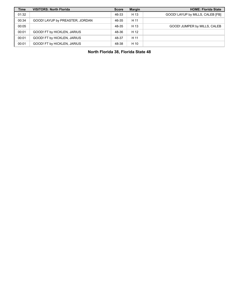| <b>Time</b> | <b>VISITORS: North Florida</b>  | <b>Score</b> | <b>Margin</b> | <b>HOME: Florida State</b>       |
|-------------|---------------------------------|--------------|---------------|----------------------------------|
| 01:32       |                                 | 46-33        | H 13          | GOOD! LAYUP by MILLS, CALEB [FB] |
| 00:34       | GOOD! LAYUP by PREASTER, JORDAN | 46-35        | H 11          |                                  |
| 00:05       |                                 | 48-35        | H 13          | GOOD! JUMPER by MILLS, CALEB     |
| 00:01       | GOOD! FT by HICKLEN, JARIUS     | 48-36        | H 12          |                                  |
| 00:01       | GOOD! FT by HICKLEN, JARIUS     | 48-37        | H 11          |                                  |
| 00:01       | GOOD! FT by HICKLEN, JARIUS     | 48-38        | H 10          |                                  |

**North Florida 38, Florida State 48**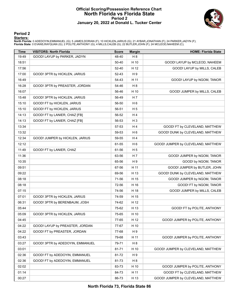#### **Official Scoring/Possession Reference Chart North Florida vs Florida State Period 2 January 20, 2022 at Donald L. Tucker Center**



#### **Period 2**

#### **Starters:**

**North Florida**: 0 ADEDOYIN,EMMANUEL (G); 5 JAMES,DORIAN (F); 10 HICKLEN,JARIUS (G); 21 AYBAR,JONATHAN (F); 24 PARKER,JADYN (F);<br>**Florida State**: 0 EVANS,RAYQUAN (G); 2 POLITE,ANTHONY (G); 4 MILLS,CALEB (G); 22 BUTLER,JOHN

| <b>Time</b> | <b>VISITORS: North Florida</b>   | <b>Score</b> | <b>Margin</b>  | <b>HOME: Florida State</b>         |
|-------------|----------------------------------|--------------|----------------|------------------------------------|
| 19:49       | GOOD! LAYUP by PARKER, JADYN     | 48-40        | H <sub>8</sub> |                                    |
| 18:51       |                                  | 50-40        | H 10           | GOOD! LAYUP by MCLEOD, NAHEEM      |
| 17:56       |                                  | 52-40        | H 12           | GOOD! LAYUP by MILLS, CALEB        |
| 17:00       | GOOD! 3PTR by HICKLEN, JARIUS    | 52-43        | H9             |                                    |
| 16:49       |                                  | 54-43        | H 11           | GOOD! LAYUP by NGOM, TANOR         |
| 16:28       | GOOD! 3PTR by PREASTER, JORDAN   | 54-46        | H <sub>8</sub> |                                    |
| 16:07       |                                  | 56-46        | H 10           | GOOD! JUMPER by MILLS, CALEB       |
| 15:48       | GOOD! 3PTR by HICKLEN, JARIUS    | 56-49        | H 7            |                                    |
| 15:10       | GOOD! FT by HICKLEN, JARIUS      | 56-50        | H <sub>6</sub> |                                    |
| 15:10       | GOOD! FT by HICKLEN, JARIUS      | 56-51        | H <sub>5</sub> |                                    |
| 14:13       | GOOD! FT by LANIER, CHAZ [FB]    | 56-52        | H4             |                                    |
| 14:13       | GOOD! FT by LANIER, CHAZ [FB]    | 56-53        | H <sub>3</sub> |                                    |
| 13:34       |                                  | 57-53        | H4             | GOOD! FT by CLEVELAND, MATTHEW     |
| 13:32       |                                  | 59-53        | H <sub>6</sub> | GOOD! DUNK by CLEVELAND, MATTHEW   |
| 12:34       | GOOD! JUMPER by HICKLEN, JARIUS  | 59-55        | H4             |                                    |
| 12:12       |                                  | 61-55        | H <sub>6</sub> | GOOD! JUMPER by CLEVELAND, MATTHEW |
| 11:49       | GOOD! FT by LANIER, CHAZ         | 61-56        | H <sub>5</sub> |                                    |
| 11:36       |                                  | 63-56        | H <sub>7</sub> | GOOD! JUMPER by NGOM, TANOR        |
| 10:35       |                                  | 65-56        | H9             | GOOD! by NGOM, TANOR               |
| 09:51       |                                  | 67-56        | H 11           | GOOD! JUMPER by BUTLER, JOHN       |
| 09:22       |                                  | 69-56        | H 13           | GOOD! DUNK by CLEVELAND, MATTHEW   |
| 08:18       |                                  | 71-56        | H 15           | GOOD! JUMPER by NGOM, TANOR        |
| 08:18       |                                  | 72-56        | H 16           | GOOD! FT by NGOM, TANOR            |
| 07:15       |                                  | 74-56        | H 18           | GOOD! JUMPER by MILLS, CALEB       |
| 07:01       | GOOD! 3PTR by HICKLEN, JARIUS    | 74-59        | H 15           |                                    |
| 06:31       | GOOD! 3PTR by BERENBAUM, JOSH    | 74-62        | H 12           |                                    |
| 05:44       |                                  | 75-62        | H 13           | GOOD! FT by POLITE, ANTHONY        |
| 05:09       | GOOD! 3PTR by HICKLEN, JARIUS    | 75-65        | H 10           |                                    |
| 04:45       |                                  | 77-65        | H 12           | GOOD! JUMPER by POLITE, ANTHONY    |
| 04:22       | GOOD! LAYUP by PREASTER, JORDAN  | 77-67        | H 10           |                                    |
| 04:22       | GOOD! FT by PREASTER, JORDAN     | 77-68        | H 9            |                                    |
| 03:43       |                                  | 79-68        | H 11           | GOOD! JUMPER by POLITE, ANTHONY    |
| 03:27       | GOOD! 3PTR by ADEDOYIN, EMMANUEL | 79-71        | H <sub>8</sub> |                                    |
| 03:01       |                                  | 81-71        | H 10           | GOOD! JUMPER by CLEVELAND, MATTHEW |
| 02:36       | GOOD! FT by ADEDOYIN, EMMANUEL   | 81-72        | H 9            |                                    |
| 02:36       | GOOD! FT by ADEDOYIN, EMMANUEL   | 81-73        | H <sub>8</sub> |                                    |
| 02:02       |                                  | 83-73        | H 10           | GOOD! JUMPER by POLITE, ANTHONY    |
| 01:14       |                                  | 84-73        | H 11           | GOOD! FT by CLEVELAND, MATTHEW     |
| 00:27       |                                  | 86-73        | H 13           | GOOD! JUMPER by CLEVELAND, MATTHEW |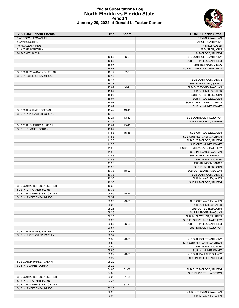

#### **Official Substitutions Log North Florida vs Florida State Period 1 January 20, 2022 at Donald L. Tucker Center**

| <b>VISITORS: North Florida</b>                          | <b>Time</b>    | <b>Score</b> | <b>HOME: Florida State</b>                            |
|---------------------------------------------------------|----------------|--------------|-------------------------------------------------------|
| 0 ADEDOYIN, EMMANUEL                                    |                |              | 0 EVANS, RAYQUAN                                      |
| 5 JAMES, DORIAN                                         |                |              | 2 POLITE, ANTHONY                                     |
| 10 HICKLEN, JARIUS                                      |                |              | 4 MILLS, CALEB                                        |
| 21 AYBAR, JONATHAN                                      |                |              | 22 BUTLER, JOHN                                       |
| 24 PARKER, JADYN                                        |                |              | 24 MCLEOD, NAHEEM                                     |
|                                                         | 16:57          | $6-5$        | SUB OUT: POLITE, ANTHONY                              |
|                                                         | 16:57          |              | SUB OUT: MCLEOD, NAHEEM                               |
|                                                         | 16:57<br>16:57 |              | SUB IN: NGOM, TANOR<br>SUB IN: CLEVELAND, MATTHEW     |
| SUB OUT: 21 AYBAR, JONATHAN                             | 16:17          | $7 - 9$      |                                                       |
| SUB IN: 23 BERENBAUM, JOSH                              | 16:17          |              |                                                       |
|                                                         | 16:17          |              | SUB OUT: NGOM, TANOR                                  |
|                                                         | 16:17          |              | SUB IN: BALLARD, QUINCY                               |
|                                                         | 15:07          | $10 - 11$    | SUB OUT: EVANS, RAYQUAN                               |
|                                                         | 15:07          |              | SUB OUT: MILLS, CALEB                                 |
|                                                         | 15:07          |              | SUB OUT: BUTLER, JOHN                                 |
|                                                         | 15:07          |              | SUB IN: WARLEY, JALEN                                 |
|                                                         | 15:07          |              | SUB IN: FLETCHER, CAM'RON                             |
|                                                         | 15:07          |              | SUB IN: WILKES, WYATT                                 |
| SUB OUT: 5 JAMES, DORIAN                                | 13:42          | $13 - 15$    |                                                       |
| SUB IN: 4 PREASTER, JORDAN                              | 13:42          |              |                                                       |
|                                                         | 13:21          | $13 - 17$    | SUB OUT: BALLARD, QUINCY                              |
|                                                         | 13:21          |              | SUB IN: MCLEOD, NAHEEM                                |
| SUB OUT: 24 PARKER, JADYN                               | 13:07          | $13 - 18$    |                                                       |
| SUB IN: 5 JAMES.DORIAN                                  | 13:07          |              |                                                       |
|                                                         | 11:58          | $15 - 18$    | SUB OUT: WARLEY, JALEN                                |
|                                                         | 11:58<br>11:58 |              | SUB OUT: FLETCHER, CAM'RON<br>SUB OUT: MCLEOD, NAHEEM |
|                                                         | 11:58          |              | SUB OUT: WILKES, WYATT                                |
|                                                         | 11:58          |              | SUB OUT: CLEVELAND, MATTHEW                           |
|                                                         | 11:58          |              | SUB IN: EVANS, RAYQUAN                                |
|                                                         | 11:58          |              | SUB IN: POLITE, ANTHONY                               |
|                                                         | 11:58          |              | SUB IN: MILLS, CALEB                                  |
|                                                         | 11:58          |              | SUB IN: NGOM, TANOR                                   |
|                                                         | 11:58          |              | SUB IN: BUTLER, JOHN                                  |
|                                                         | 10:33          | 18-22        | SUB OUT: EVANS, RAYQUAN                               |
|                                                         | 10:33          |              | SUB OUT: NGOM, TANOR                                  |
|                                                         | 10:33          |              | SUB IN: WARLEY, JALEN                                 |
|                                                         | 10:33          |              | SUB IN: MCLEOD, NAHEEM                                |
| SUB OUT: 23 BERENBAUM, JOSH                             | 10:33          |              |                                                       |
| SUB IN: 24 PARKER.JADYN                                 | 10:33          |              |                                                       |
| SUB OUT: 4 PREASTER, JORDAN                             | 08:59          | 20-26        |                                                       |
| SUB IN: 23 BERENBAUM.JOSH                               | 08:59          |              |                                                       |
|                                                         | 08:25<br>08:25 | 23-26        | SUB OUT: WARLEY, JALEN<br>SUB OUT: MILLS, CALEB       |
|                                                         | 08:25          |              | SUB OUT: BUTLER, JOHN                                 |
|                                                         | 08:25          |              | SUB IN: EVANS, RAYQUAN                                |
|                                                         | 08:25          |              | SUB IN: FLETCHER, CAM'RON                             |
|                                                         | 08:25          |              | SUB IN: CLEVELAND, MATTHEW                            |
|                                                         | 06:57          | 26-28        | SUB OUT: MCLEOD, NAHEEM                               |
|                                                         | 06:57          |              | SUB IN: BALLARD, QUINCY                               |
| SUB OUT: 5 JAMES, DORIAN                                | 06:57          |              |                                                       |
| SUB IN: 4 PREASTER, JORDAN                              | 06:57          |              |                                                       |
|                                                         | 05:50          | 26-28        | SUB OUT: POLITE, ANTHONY                              |
|                                                         | 05:50          |              | SUB OUT: FLETCHER, CAM'RON                            |
|                                                         | 05:50          |              | SUB IN: MILLS, CALEB                                  |
|                                                         | 05:50          |              | SUB IN: WILKES, WYATT                                 |
|                                                         | 05:22          | 26-28        | SUB OUT: BALLARD, QUINCY                              |
|                                                         | 05:22          |              | SUB IN: MCLEOD, NAHEEM                                |
| SUB OUT: 24 PARKER, JADYN                               | 05:22          |              |                                                       |
| SUB IN: 5 JAMES, DORIAN                                 | 05:22          |              |                                                       |
|                                                         | 04:08          | 31-32        | SUB OUT: MCLEOD, NAHEEM                               |
|                                                         | 04:08          |              | SUB IN: PRIETO, HARRISON                              |
| SUB OUT: 23 BERENBAUM, JOSH<br>SUB IN: 24 PARKER, JADYN | 03:28<br>03:28 | 31-35        |                                                       |
| SUB OUT: 4 PREASTER, JORDAN                             | 02:20          | $31 - 42$    |                                                       |
| SUB IN: 23 BERENBAUM, JOSH                              | 02:20          |              |                                                       |
|                                                         | 02:20          |              | SUB OUT: EVANS, RAYQUAN                               |
|                                                         | 02:20          |              | SUB IN: WARLEY, JALEN                                 |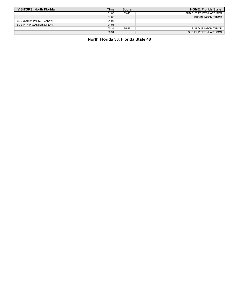| <b>VISITORS: North Florida</b> | Time  | <b>Score</b> | <b>HOME: Florida State</b> |
|--------------------------------|-------|--------------|----------------------------|
|                                | 01:06 | 33-46        | SUB OUT: PRIETO, HARRISON  |
|                                | 01:06 |              | SUB IN: NGOM, TANOR        |
| SUB OUT: 24 PARKER, JADYN      | 01:06 |              |                            |
| SUB IN: 4 PREASTER, JORDAN     | 01:06 |              |                            |
|                                | 00:34 | 35-46        | SUB OUT: NGOM, TANOR       |
|                                | 00:34 |              | SUB IN: PRIETO, HARRISON   |

# **North Florida 38, Florida State 48**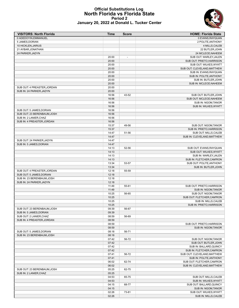#### **Official Substitutions Log North Florida vs Florida State Period 2 January 20, 2022 at Donald L. Tucker Center**



| <b>VISITORS: North Florida</b> | Time  | <b>Score</b>             | <b>HOME: Florida State</b>      |
|--------------------------------|-------|--------------------------|---------------------------------|
| 0 ADEDOYIN, EMMANUEL           |       |                          | 0 EVANS, RAYQUAN                |
| 5 JAMES, DORIAN                |       |                          | 2 POLITE, ANTHONY               |
| 10 HICKLEN, JARIUS             |       |                          | 4 MILLS, CALEB                  |
| 21 AYBAR, JONATHAN             |       |                          | 22 BUTLER, JOHN                 |
| 24 PARKER, JADYN               |       |                          | 24 MCLEOD, NAHEEM               |
|                                | 20:00 | $\overline{\phantom{a}}$ | SUB OUT: WARLEY, JALEN          |
|                                | 20:00 |                          | SUB OUT: PRIETO, HARRISON       |
|                                | 20:00 |                          | SUB OUT: WILKES, WYATT          |
|                                | 20:00 |                          | SUB OUT: CLEVELAND, MATTHEW     |
|                                | 20:00 |                          | SUB IN: EVANS, RAYQUAN          |
|                                | 20:00 |                          | SUB IN: POLITE, ANTHONY         |
|                                | 20:00 |                          | SUB IN: BUTLER, JOHN            |
|                                | 20:00 |                          | SUB IN: MCLEOD, NAHEEM          |
| SUB OUT: 4 PREASTER, JORDAN    | 20:00 |                          |                                 |
| SUB IN: 24 PARKER, JADYN       | 20:00 |                          |                                 |
|                                | 16:56 | 43-52                    | SUB OUT: BUTLER, JOHN           |
|                                | 16:56 |                          | SUB OUT: MCLEOD, NAHEEM         |
|                                | 16:56 |                          | SUB IN: NGOM, TANOR             |
|                                | 16:56 |                          | SUB IN: WILKES, WYATT           |
| SUB OUT: 5 JAMES, DORIAN       | 16:56 |                          |                                 |
| SUB OUT: 23 BERENBAUM, JOSH    | 16:56 |                          |                                 |
| SUB IN: 2 LANIER, CHAZ         | 16:56 |                          |                                 |
| SUB IN: 4 PREASTER.JORDAN      | 16:56 |                          |                                 |
|                                | 15:37 | 49-56                    | SUB OUT: NGOM.TANOR             |
|                                | 15:37 |                          | SUB IN: PRIETO, HARRISON        |
|                                | 14:47 | 51-56                    | SUB OUT: MILLS, CALEB           |
|                                | 14:47 |                          | SUB IN: CLEVELAND.MATTHEW       |
| SUB OUT: 24 PARKER.JADYN       | 14:47 |                          |                                 |
| SUB IN: 5 JAMES, DORIAN        | 14:47 |                          |                                 |
|                                | 14:13 | 52-56                    | SUB OUT: EVANS, RAYQUAN         |
|                                | 14:13 |                          | SUB OUT: WILKES, WYATT          |
|                                | 14:13 |                          | SUB IN: WARLEY, JALEN           |
|                                | 14:13 |                          | SUB IN: FLETCHER, CAM'RON       |
|                                | 13:34 | 53-57                    | SUB OUT: POLITE, ANTHONY        |
|                                | 13:34 |                          | SUB IN: BUTLER, JOHN            |
| SUB OUT: 4 PREASTER, JORDAN    | 12:18 | 55-59                    |                                 |
| SUB OUT: 5 JAMES, DORIAN       | 12:18 |                          |                                 |
| SUB IN: 23 BERENBAUM, JOSH     | 12:18 |                          |                                 |
| SUB IN: 24 PARKER, JADYN       | 12:18 |                          |                                 |
|                                | 11:49 | 55-61                    | SUB OUT: PRIETO.HARRISON        |
|                                | 11:49 |                          | SUB IN: NGOM, TANOR             |
|                                | 10:25 | 56-65                    | SUB OUT: NGOM, TANOR            |
|                                | 10:25 |                          | SUB OUT: FLETCHER, CAM'RON      |
|                                | 10:25 |                          | <b>SUB IN: MILLS.CALEB</b>      |
|                                | 10:25 |                          | <b>SUB IN: PRIETO, HARRISON</b> |
| SUB OUT: 23 BERENBAUM, JOSH    | 09:39 | 56-67                    |                                 |
| SUB IN: 5 JAMES, DORIAN        | 09:39 |                          |                                 |
| SUB OUT: 2 LANIER, CHAZ        | 08:59 | 56-69                    |                                 |
| SUB IN: 4 PREASTER, JORDAN     | 08:59 |                          |                                 |
|                                | 08:59 |                          | SUB OUT: PRIETO, HARRISON       |
|                                | 08:59 |                          | <b>SUB IN: NGOM.TANOR</b>       |
| SUB OUT: 5 JAMES, DORIAN       | 08:18 | 56-71                    |                                 |
| SUB IN: 23 BERENBAUM, JOSH     | 08:18 |                          |                                 |
|                                | 07:42 | 56-72                    | SUB OUT: NGOM, TANOR            |
|                                | 07:42 |                          | SUB OUT: BUTLER, JOHN           |
|                                | 07:42 |                          | SUB IN: BALLARD, QUINCY         |
|                                | 07:42 |                          | SUB IN: FLETCHER, CAM'RON       |
|                                | 07:41 | 56-72                    | SUB OUT: CLEVELAND, MATTHEW     |
|                                | 07:41 |                          | SUB IN: POLITE, ANTHONY         |
|                                | 06:02 | 62-74                    | SUB OUT: FLETCHER, CAM'RON      |
|                                | 06:02 |                          | SUB IN: CLEVELAND, MATTHEW      |
| SUB OUT: 23 BERENBAUM, JOSH    | 05:25 | 62-75                    |                                 |
| SUB IN: 2 LANIER, CHAZ         | 05:25 |                          |                                 |
|                                | 04:53 | 65-75                    | SUB OUT: MILLS, CALEB           |
|                                | 04:53 |                          | SUB IN: WILKES, WYATT           |
|                                | 04:15 | 68-77                    | SUB OUT: BALLARD, QUINCY        |
|                                | 04:15 |                          | SUB IN: NGOM, TANOR             |
|                                | 02:26 | 73-81                    | SUB OUT: WILKES, WYATT          |
|                                | 02:26 |                          | SUB IN: MILLS, CALEB            |